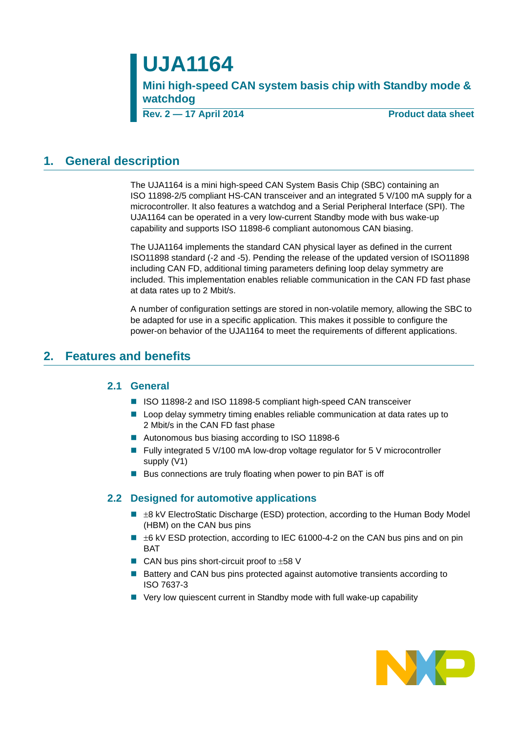# **UJA1164**

**Mini high-speed CAN system basis chip with Standby mode & watchdog**

**Rev. 2 — 17 April 2014 Product data sheet**

### <span id="page-0-0"></span>**1. General description**

The UJA1164 is a mini high-speed CAN System Basis Chip (SBC) containing an ISO 11898-2/5 compliant HS-CAN transceiver and an integrated 5 V/100 mA supply for a microcontroller. It also features a watchdog and a Serial Peripheral Interface (SPI). The UJA1164 can be operated in a very low-current Standby mode with bus wake-up capability and supports ISO 11898-6 compliant autonomous CAN biasing.

The UJA1164 implements the standard CAN physical layer as defined in the current ISO11898 standard (-2 and -5). Pending the release of the updated version of ISO11898 including CAN FD, additional timing parameters defining loop delay symmetry are included. This implementation enables reliable communication in the CAN FD fast phase at data rates up to 2 Mbit/s.

A number of configuration settings are stored in non-volatile memory, allowing the SBC to be adapted for use in a specific application. This makes it possible to configure the power-on behavior of the UJA1164 to meet the requirements of different applications.

### <span id="page-0-2"></span><span id="page-0-1"></span>**2. Features and benefits**

### **2.1 General**

- ISO 11898-2 and ISO 11898-5 compliant high-speed CAN transceiver
- **L** Loop delay symmetry timing enables reliable communication at data rates up to 2 Mbit/s in the CAN FD fast phase
- Autonomous bus biasing according to ISO 11898-6
- Fully integrated 5 V/100 mA low-drop voltage regulator for 5 V microcontroller supply (V1)
- Bus connections are truly floating when power to pin BAT is off

### <span id="page-0-3"></span>**2.2 Designed for automotive applications**

- $\blacksquare$   $\pm$ 8 kV ElectroStatic Discharge (ESD) protection, according to the Human Body Model (HBM) on the CAN bus pins
- $\blacksquare$   $\pm$ 6 kV ESD protection, according to IEC 61000-4-2 on the CAN bus pins and on pin **BAT**
- $\blacksquare$  CAN bus pins short-circuit proof to  $\pm 58$  V
- Battery and CAN bus pins protected against automotive transients according to ISO 7637-3
- Very low quiescent current in Standby mode with full wake-up capability

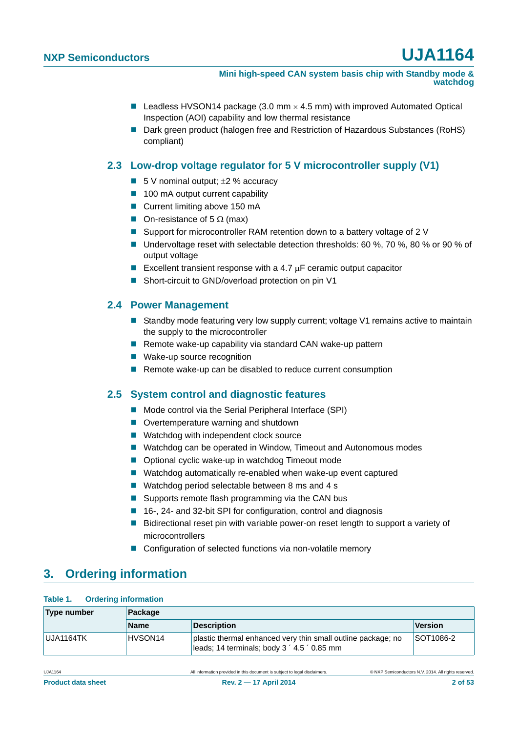- **Leadless HVSON14 package (3.0 mm**  $\times$  **4.5 mm) with improved Automated Optical** Inspection (AOI) capability and low thermal resistance
- Dark green product (halogen free and Restriction of Hazardous Substances (RoHS) compliant)

### <span id="page-1-0"></span>**2.3 Low-drop voltage regulator for 5 V microcontroller supply (V1)**

- 5 V nominal output;  $\pm 2$  % accuracy
- 100 mA output current capability
- Current limiting above 150 mA
- On-resistance of 5  $\Omega$  (max)
- Support for microcontroller RAM retention down to a battery voltage of 2 V
- Undervoltage reset with selectable detection thresholds: 60 %, 70 %, 80 % or 90 % of output voltage
- Excellent transient response with a 4.7  $\mu$ F ceramic output capacitor
- Short-circuit to GND/overload protection on pin V1

### <span id="page-1-1"></span>**2.4 Power Management**

- Standby mode featuring very low supply current; voltage V1 remains active to maintain the supply to the microcontroller
- Remote wake-up capability via standard CAN wake-up pattern
- Wake-up source recognition
- Remote wake-up can be disabled to reduce current consumption

### <span id="page-1-2"></span>**2.5 System control and diagnostic features**

- Mode control via the Serial Peripheral Interface (SPI)
- Overtemperature warning and shutdown
- Watchdog with independent clock source
- Watchdog can be operated in Window, Timeout and Autonomous modes
- Optional cyclic wake-up in watchdog Timeout mode
- Watchdog automatically re-enabled when wake-up event captured
- Watchdog period selectable between 8 ms and 4 s
- Supports remote flash programming via the CAN bus
- 16-, 24- and 32-bit SPI for configuration, control and diagnosis
- **Bidirectional reset pin with variable power-on reset length to support a variety of** microcontrollers
- Configuration of selected functions via non-volatile memory

# <span id="page-1-3"></span>**3. Ordering information**

#### **Table 1. Ordering information**

| Type number | <b>Package</b>      |                                                                                                             |           |  |  |  |
|-------------|---------------------|-------------------------------------------------------------------------------------------------------------|-----------|--|--|--|
|             | <b>Name</b>         | <b>Description</b>                                                                                          | Version   |  |  |  |
| UJA1164TK   | HVSON <sub>14</sub> | plastic thermal enhanced very thin small outline package; no<br>leads; 14 terminals; body 3 ' 4.5 ' 0.85 mm | SOT1086-2 |  |  |  |

UJA1164 All information provided in this document is subject to legal disclaimers. © NXP Semiconductors N.V. 2014. All rights reserved.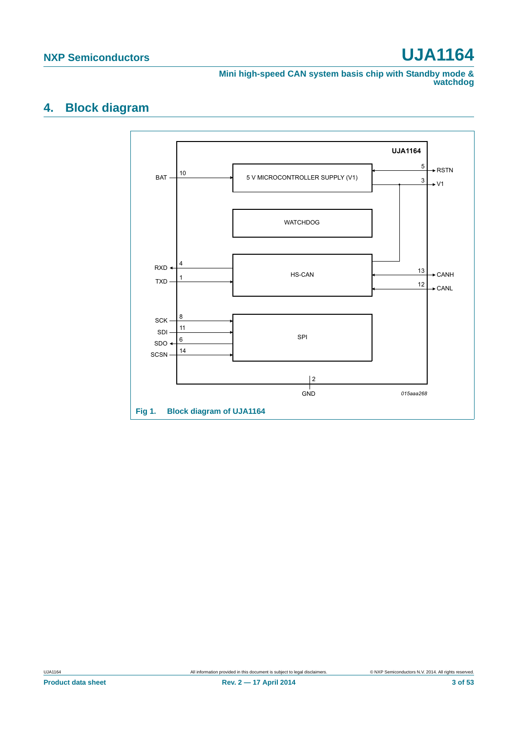**Mini high-speed CAN system basis chip with Standby mode & watchdog**

# <span id="page-2-0"></span>**4. Block diagram**

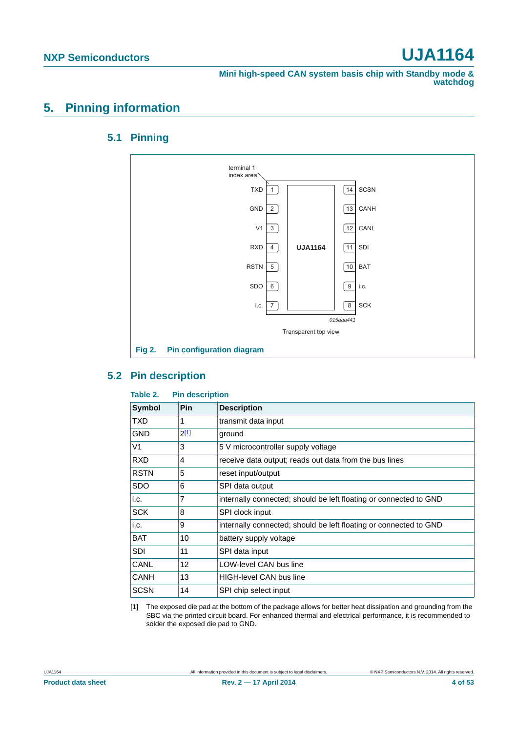**Mini high-speed CAN system basis chip with Standby mode & watchdog**

# <span id="page-3-3"></span><span id="page-3-2"></span>**5. Pinning information**

### **5.1 Pinning**



### <span id="page-3-4"></span>**5.2 Pin description**

#### <span id="page-3-1"></span>**Table 2. Pin description**

| <b>Symbol</b> | Pin            | <b>Description</b>                                                |
|---------------|----------------|-------------------------------------------------------------------|
| TXD           |                | transmit data input                                               |
| <b>GND</b>    | $2^{[1]}$      | ground                                                            |
| V1            | 3              | 5 V microcontroller supply voltage                                |
| <b>RXD</b>    | $\overline{4}$ | receive data output; reads out data from the bus lines            |
| <b>RSTN</b>   | 5              | reset input/output                                                |
| <b>SDO</b>    | 6              | SPI data output                                                   |
| i.c.          | 7              | internally connected; should be left floating or connected to GND |
| <b>SCK</b>    | 8              | SPI clock input                                                   |
| i.c.          | 9              | internally connected; should be left floating or connected to GND |
| <b>BAT</b>    | 10             | battery supply voltage                                            |
| <b>SDI</b>    | 11             | SPI data input                                                    |
| CANL          | 12             | LOW-level CAN bus line                                            |
| CANH          | 13             | <b>HIGH-level CAN bus line</b>                                    |
| <b>SCSN</b>   | 14             | SPI chip select input                                             |

<span id="page-3-0"></span>[1] The exposed die pad at the bottom of the package allows for better heat dissipation and grounding from the SBC via the printed circuit board. For enhanced thermal and electrical performance, it is recommended to solder the exposed die pad to GND.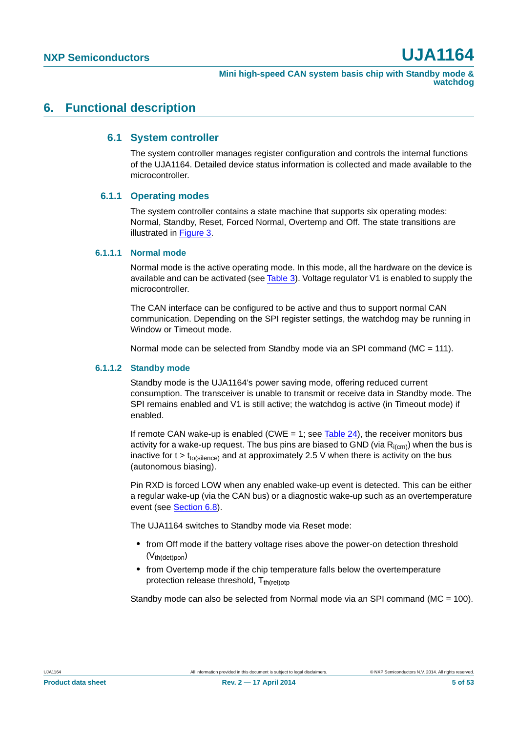### <span id="page-4-1"></span><span id="page-4-0"></span>**6. Functional description**

#### **6.1 System controller**

The system controller manages register configuration and controls the internal functions of the UJA1164. Detailed device status information is collected and made available to the microcontroller.

#### <span id="page-4-2"></span>**6.1.1 Operating modes**

The system controller contains a state machine that supports six operating modes: Normal, Standby, Reset, Forced Normal, Overtemp and Off. The state transitions are illustrated in [Figure 3.](#page-5-0)

#### <span id="page-4-3"></span>**6.1.1.1 Normal mode**

Normal mode is the active operating mode. In this mode, all the hardware on the device is available and can be activated (see [Table 3](#page-7-0)). Voltage regulator V1 is enabled to supply the microcontroller.

The CAN interface can be configured to be active and thus to support normal CAN communication. Depending on the SPI register settings, the watchdog may be running in Window or Timeout mode.

Normal mode can be selected from Standby mode via an SPI command (MC = 111).

#### <span id="page-4-4"></span>**6.1.1.2 Standby mode**

Standby mode is the UJA1164's power saving mode, offering reduced current consumption. The transceiver is unable to transmit or receive data in Standby mode. The SPI remains enabled and V1 is still active; the watchdog is active (in Timeout mode) if enabled.

If remote CAN wake-up is enabled (CWE  $= 1$ ; see [Table 24\)](#page-23-0), the receiver monitors bus activity for a wake-up request. The bus pins are biased to GND (via  $R_{i(cm)}$ ) when the bus is inactive for  $t > t_{to(silence)}$  and at approximately 2.5 V when there is activity on the bus (autonomous biasing).

Pin RXD is forced LOW when any enabled wake-up event is detected. This can be either a regular wake-up (via the CAN bus) or a diagnostic wake-up such as an overtemperature event (see [Section 6.8\)](#page-20-0).

The UJA1164 switches to Standby mode via Reset mode:

- **•** from Off mode if the battery voltage rises above the power-on detection threshold  $(V<sub>th</sub>(det)pon)$
- **•** from Overtemp mode if the chip temperature falls below the overtemperature protection release threshold,  $T_{th (rel)oto}$

Standby mode can also be selected from Normal mode via an SPI command (MC = 100).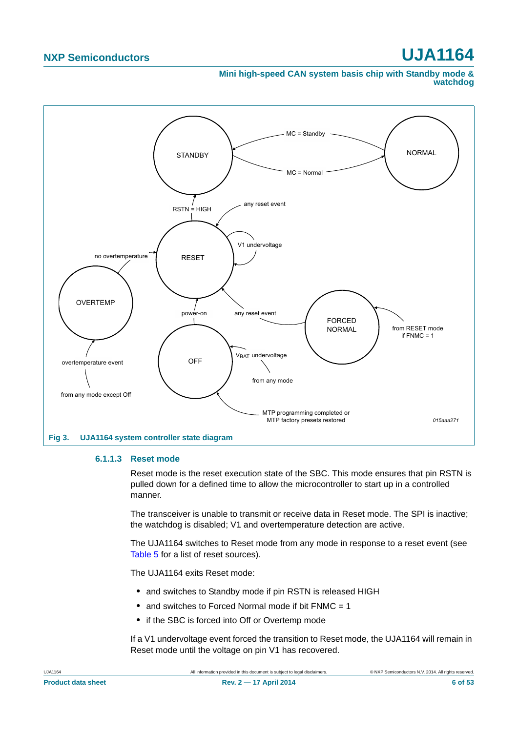#### **Mini high-speed CAN system basis chip with Standby mode & watchdog**



#### <span id="page-5-1"></span><span id="page-5-0"></span>**6.1.1.3 Reset mode**

Reset mode is the reset execution state of the SBC. This mode ensures that pin RSTN is pulled down for a defined time to allow the microcontroller to start up in a controlled manner.

The transceiver is unable to transmit or receive data in Reset mode. The SPI is inactive; the watchdog is disabled; V1 and overtemperature detection are active.

The UJA1164 switches to Reset mode from any mode in response to a reset event (see [Table 5](#page-8-0) for a list of reset sources).

The UJA1164 exits Reset mode:

- and switches to Standby mode if pin RSTN is released HIGH
- **•** and switches to Forced Normal mode if bit FNMC = 1
- **•** if the SBC is forced into Off or Overtemp mode

If a V1 undervoltage event forced the transition to Reset mode, the UJA1164 will remain in Reset mode until the voltage on pin V1 has recovered.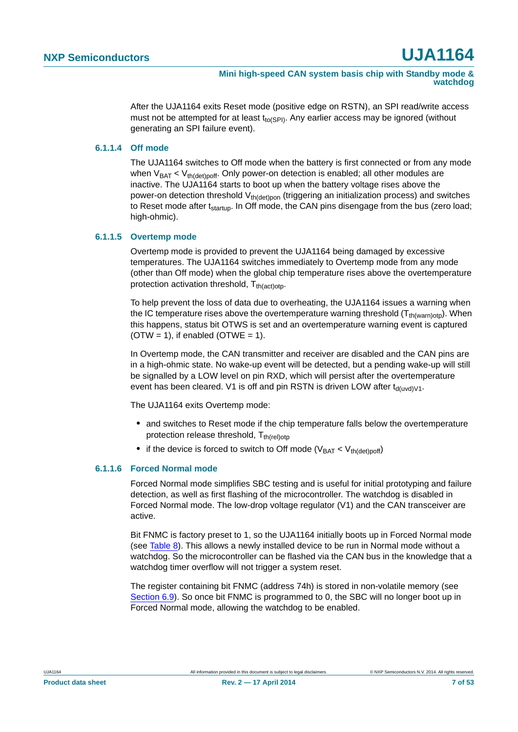After the UJA1164 exits Reset mode (positive edge on RSTN), an SPI read/write access must not be attempted for at least  $t_{\text{to(SPI)}}$ . Any earlier access may be ignored (without generating an SPI failure event).

#### <span id="page-6-2"></span>**6.1.1.4 Off mode**

The UJA1164 switches to Off mode when the battery is first connected or from any mode when  $V_{BAT} < V_{th (det)$  off. Only power-on detection is enabled; all other modules are inactive. The UJA1164 starts to boot up when the battery voltage rises above the power-on detection threshold  $V_{th (det)op}$  (triggering an initialization process) and switches to Reset mode after  $t_{\text{startup}}$ . In Off mode, the CAN pins disengage from the bus (zero load; high-ohmic).

#### <span id="page-6-0"></span>**6.1.1.5 Overtemp mode**

Overtemp mode is provided to prevent the UJA1164 being damaged by excessive temperatures. The UJA1164 switches immediately to Overtemp mode from any mode (other than Off mode) when the global chip temperature rises above the overtemperature protection activation threshold,  $T_{th(act)$ otp.

To help prevent the loss of data due to overheating, the UJA1164 issues a warning when the IC temperature rises above the overtemperature warning threshold  $(T<sub>th(warm)oto</sub>)$ . When this happens, status bit OTWS is set and an overtemperature warning event is captured  $(OTW = 1)$ , if enabled  $(OTWE = 1)$ .

In Overtemp mode, the CAN transmitter and receiver are disabled and the CAN pins are in a high-ohmic state. No wake-up event will be detected, but a pending wake-up will still be signalled by a LOW level on pin RXD, which will persist after the overtemperature event has been cleared. V1 is off and pin RSTN is driven LOW after  $t_{\text{d}(\text{uvd})\text{V1}}$ .

The UJA1164 exits Overtemp mode:

- **•** and switches to Reset mode if the chip temperature falls below the overtemperature protection release threshold,  $T_{th (rel)oto}$
- if the device is forced to switch to Off mode ( $V_{BAT} < V_{th (det)$ <sub>ooff</sub>)

#### <span id="page-6-1"></span>**6.1.1.6 Forced Normal mode**

Forced Normal mode simplifies SBC testing and is useful for initial prototyping and failure detection, as well as first flashing of the microcontroller. The watchdog is disabled in Forced Normal mode. The low-drop voltage regulator (V1) and the CAN transceiver are active.

Bit FNMC is factory preset to 1, so the UJA1164 initially boots up in Forced Normal mode (see [Table 8\)](#page-10-0). This allows a newly installed device to be run in Normal mode without a watchdog. So the microcontroller can be flashed via the CAN bus in the knowledge that a watchdog timer overflow will not trigger a system reset.

The register containing bit FNMC (address 74h) is stored in non-volatile memory (see [Section 6.9](#page-24-0)). So once bit FNMC is programmed to 0, the SBC will no longer boot up in Forced Normal mode, allowing the watchdog to be enabled.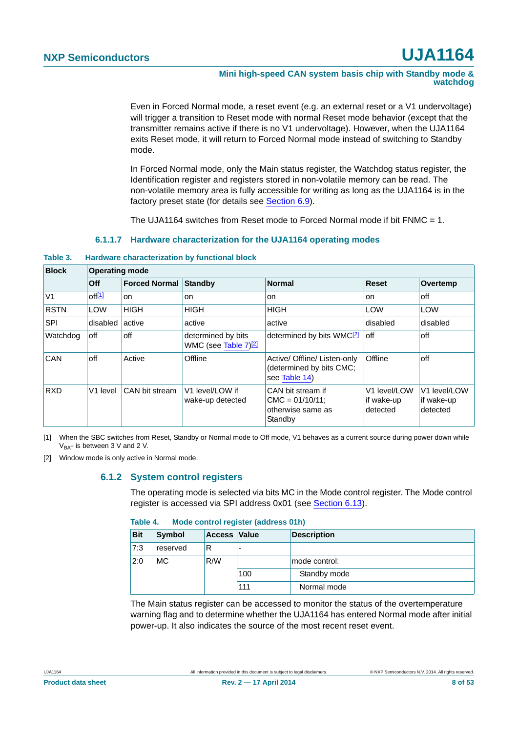#### **Mini high-speed CAN system basis chip with Standby mode & watchdog**

Even in Forced Normal mode, a reset event (e.g. an external reset or a V1 undervoltage) will trigger a transition to Reset mode with normal Reset mode behavior (except that the transmitter remains active if there is no V1 undervoltage). However, when the UJA1164 exits Reset mode, it will return to Forced Normal mode instead of switching to Standby mode.

In Forced Normal mode, only the Main status register, the Watchdog status register, the Identification register and registers stored in non-volatile memory can be read. The non-volatile memory area is fully accessible for writing as long as the UJA1164 is in the factory preset state (for details see [Section 6.9\)](#page-24-0).

The UJA1164 switches from Reset mode to Forced Normal mode if bit FNMC  $= 1$ .

#### **6.1.1.7 Hardware characterization for the UJA1164 operating modes**

#### <span id="page-7-3"></span><span id="page-7-0"></span>**Table 3. Hardware characterization by functional block**

| <b>Block</b>   | <b>Operating mode</b>       |                |                                                        |                                                                           |                                        |                                        |  |  |  |
|----------------|-----------------------------|----------------|--------------------------------------------------------|---------------------------------------------------------------------------|----------------------------------------|----------------------------------------|--|--|--|
|                | Off<br><b>Forced Normal</b> |                | Standby                                                | <b>Normal</b>                                                             | <b>Reset</b>                           | Overtemp                               |  |  |  |
| V <sub>1</sub> | off[1]                      | on             | on                                                     | on                                                                        | on                                     | off                                    |  |  |  |
| <b>RSTN</b>    | <b>LOW</b>                  | <b>HIGH</b>    | <b>HIGH</b>                                            | <b>HIGH</b>                                                               | LOW                                    | LOW                                    |  |  |  |
| <b>SPI</b>     | disabled<br>active          |                | active                                                 | active                                                                    | disabled                               | disabled                               |  |  |  |
| Watchdog       | off<br>off                  |                | determined by bits<br>WMC (see Table 7) <sup>[2]</sup> | determined by bits WMC <sup>[2]</sup>                                     | off                                    | off                                    |  |  |  |
| <b>CAN</b>     | off                         | Active         | Offline                                                | Active/ Offline/ Listen-only<br>(determined by bits CMC;<br>see Table 14) | Offline                                | off                                    |  |  |  |
| <b>RXD</b>     | V1 level                    | CAN bit stream | V1 level/LOW if<br>wake-up detected                    | CAN bit stream if<br>$CMC = 01/10/11$ ;<br>otherwise same as<br>Standby   | V1 level/LOW<br>if wake-up<br>detected | V1 level/LOW<br>if wake-up<br>detected |  |  |  |

<span id="page-7-1"></span>[1] When the SBC switches from Reset, Standby or Normal mode to Off mode, V1 behaves as a current source during power down while  $V_{BAT}$  is between 3 V and 2 V.

<span id="page-7-4"></span><span id="page-7-2"></span>[2] Window mode is only active in Normal mode.

#### **6.1.2 System control registers**

The operating mode is selected via bits MC in the Mode control register. The Mode control register is accessed via SPI address 0x01 (see [Section 6.13](#page-27-0)).

#### **Table 4. Mode control register (address 01h)**

| <b>Bit</b> | Symbol   | <b>Access Value</b> |     | <b>Description</b> |
|------------|----------|---------------------|-----|--------------------|
| 7:3        | reserved | R                   |     |                    |
| 2:0        | MC.      | R/W                 |     | mode control:      |
|            |          |                     | 100 | Standby mode       |
|            |          |                     | 111 | Normal mode        |

The Main status register can be accessed to monitor the status of the overtemperature warning flag and to determine whether the UJA1164 has entered Normal mode after initial power-up. It also indicates the source of the most recent reset event.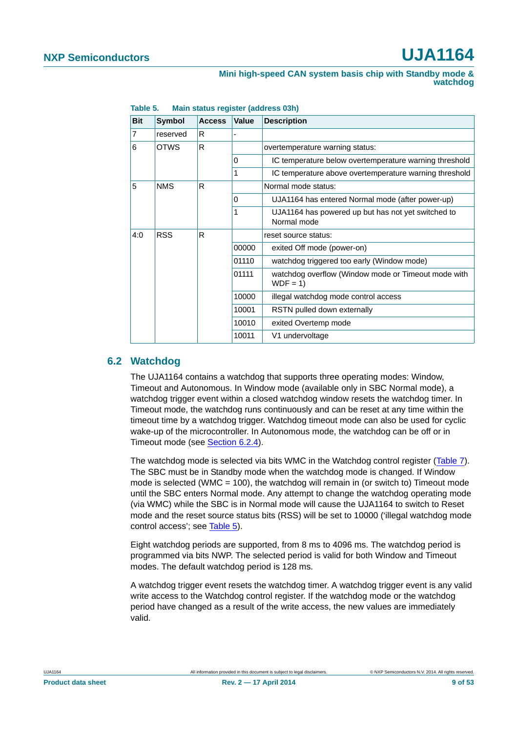| <b>Bit</b>     | <b>Symbol</b> | <b>Access</b> | Value | <b>Description</b>                                                |
|----------------|---------------|---------------|-------|-------------------------------------------------------------------|
| $\overline{7}$ | reserved      | R             |       |                                                                   |
| 6              | <b>OTWS</b>   | R             |       | overtemperature warning status:                                   |
|                |               |               | 0     | IC temperature below overtemperature warning threshold            |
|                |               |               | 1     | IC temperature above overtemperature warning threshold            |
| 5              | <b>NMS</b>    | R             |       | Normal mode status:                                               |
|                |               |               | 0     | UJA1164 has entered Normal mode (after power-up)                  |
|                |               |               | 1     | UJA1164 has powered up but has not yet switched to<br>Normal mode |
| 4:0            | <b>RSS</b>    | R             |       | reset source status:                                              |
|                |               |               | 00000 | exited Off mode (power-on)                                        |
|                |               |               | 01110 | watchdog triggered too early (Window mode)                        |
|                |               |               | 01111 | watchdog overflow (Window mode or Timeout mode with<br>$WDF = 1$  |
|                |               |               | 10000 | illegal watchdog mode control access                              |
|                |               |               | 10001 | RSTN pulled down externally                                       |
|                |               |               | 10010 | exited Overtemp mode                                              |
|                |               |               | 10011 | V1 undervoltage                                                   |

<span id="page-8-0"></span>**Table 5. Main status register (address 03h)**

### <span id="page-8-1"></span>**6.2 Watchdog**

The UJA1164 contains a watchdog that supports three operating modes: Window, Timeout and Autonomous. In Window mode (available only in SBC Normal mode), a watchdog trigger event within a closed watchdog window resets the watchdog timer. In Timeout mode, the watchdog runs continuously and can be reset at any time within the timeout time by a watchdog trigger. Watchdog timeout mode can also be used for cyclic wake-up of the microcontroller. In Autonomous mode, the watchdog can be off or in Timeout mode (see [Section 6.2.4\)](#page-11-0).

The watchdog mode is selected via bits WMC in the Watchdog control register ([Table 7\)](#page-9-0). The SBC must be in Standby mode when the watchdog mode is changed. If Window mode is selected (WMC = 100), the watchdog will remain in (or switch to) Timeout mode until the SBC enters Normal mode. Any attempt to change the watchdog operating mode (via WMC) while the SBC is in Normal mode will cause the UJA1164 to switch to Reset mode and the reset source status bits (RSS) will be set to 10000 ('illegal watchdog mode control access'; see [Table 5\)](#page-8-0).

Eight watchdog periods are supported, from 8 ms to 4096 ms. The watchdog period is programmed via bits NWP. The selected period is valid for both Window and Timeout modes. The default watchdog period is 128 ms.

A watchdog trigger event resets the watchdog timer. A watchdog trigger event is any valid write access to the Watchdog control register. If the watchdog mode or the watchdog period have changed as a result of the write access, the new values are immediately valid.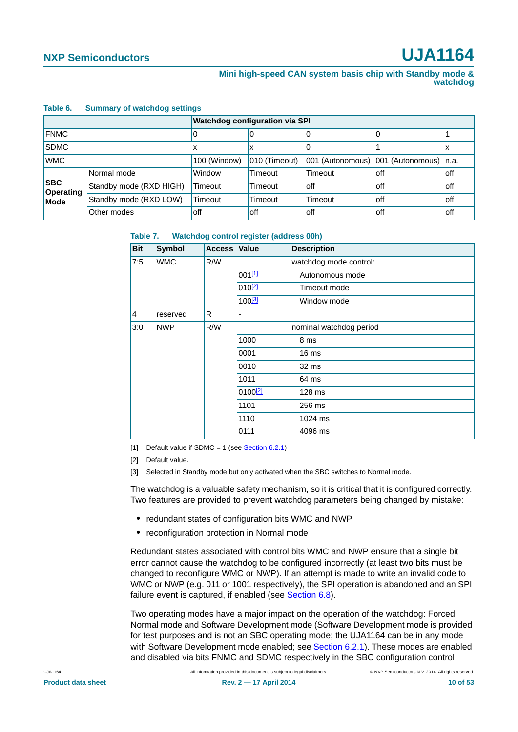#### **Table 6. Summary of watchdog settings**

|                                |                         | <b>Watchdog configuration via SPI</b> |               |                  |                       |      |  |  |
|--------------------------------|-------------------------|---------------------------------------|---------------|------------------|-----------------------|------|--|--|
| <b>FNMC</b>                    |                         | 0                                     | O             | 0                | 0                     |      |  |  |
| <b>SDMC</b>                    |                         | х                                     | х             |                  |                       | л    |  |  |
| <b>WMC</b>                     |                         | 100 (Window)                          | 010 (Timeout) | 001 (Autonomous) | 001 (Autonomous) n.a. |      |  |  |
| <b>SBC</b><br><b>Operating</b> | Normal mode             | Window                                | Timeout       | Timeout          | off                   | off  |  |  |
|                                | Standby mode (RXD HIGH) | Timeout                               | Timeout       | off              | off                   | loff |  |  |
| <b>Mode</b>                    | Standby mode (RXD LOW)  | Timeout                               | Timeout       | Timeout          | off                   | loff |  |  |
|                                | Other modes             | off                                   | off           | off              | off                   | off  |  |  |

#### <span id="page-9-0"></span>**Table 7. Watchdog control register (address 00h)**

| <b>Bit</b> | <b>Symbol</b> | <b>Access</b> | <b>Value</b>        | <b>Description</b>      |
|------------|---------------|---------------|---------------------|-------------------------|
| 7:5        | <b>WMC</b>    | R/W           |                     | watchdog mode control:  |
|            |               |               | 001[1]              | Autonomous mode         |
|            |               |               | $010^{2}$           | Timeout mode            |
|            |               |               | 100 <sup>[3]</sup>  | Window mode             |
| 4          | reserved      | R             |                     |                         |
| 3:0        | <b>NWP</b>    | R/W           |                     | nominal watchdog period |
|            |               |               | 1000                | 8 ms                    |
|            |               |               | 0001                | 16 <sub>ms</sub>        |
|            |               |               | 0010                | 32 ms                   |
|            |               |               | 1011                | 64 ms                   |
|            |               |               | 0100 <sup>[2]</sup> | 128 ms                  |
|            |               |               | 1101                | 256 ms                  |
|            |               |               | 1110                | 1024 ms                 |
|            |               |               | 0111                | 4096 ms                 |

<span id="page-9-1"></span>[1] Default value if SDMC = 1 (see [Section 6.2.1](#page-11-1))

<span id="page-9-2"></span>[2] Default value.

<span id="page-9-3"></span>[3] Selected in Standby mode but only activated when the SBC switches to Normal mode.

The watchdog is a valuable safety mechanism, so it is critical that it is configured correctly. Two features are provided to prevent watchdog parameters being changed by mistake:

- **•** redundant states of configuration bits WMC and NWP
- **•** reconfiguration protection in Normal mode

Redundant states associated with control bits WMC and NWP ensure that a single bit error cannot cause the watchdog to be configured incorrectly (at least two bits must be changed to reconfigure WMC or NWP). If an attempt is made to write an invalid code to WMC or NWP (e.g. 011 or 1001 respectively), the SPI operation is abandoned and an SPI failure event is captured, if enabled (see [Section 6.8](#page-20-0)).

Two operating modes have a major impact on the operation of the watchdog: Forced Normal mode and Software Development mode (Software Development mode is provided for test purposes and is not an SBC operating mode; the UJA1164 can be in any mode with Software Development mode enabled; see [Section 6.2.1\)](#page-11-1). These modes are enabled and disabled via bits FNMC and SDMC respectively in the SBC configuration control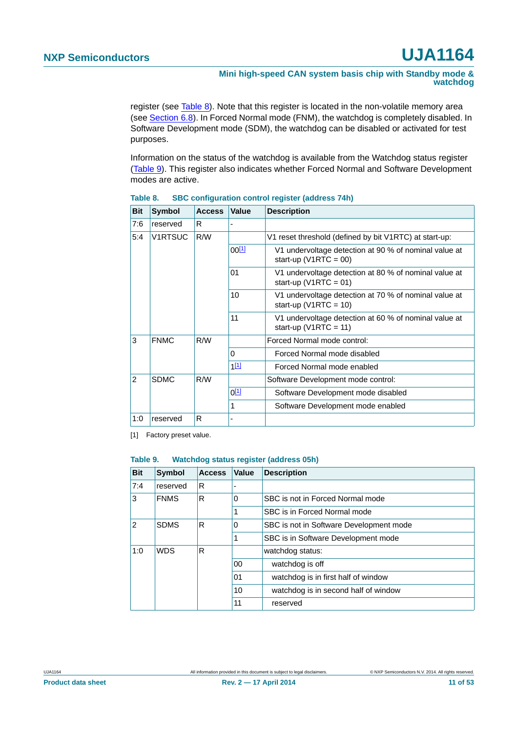**Mini high-speed CAN system basis chip with Standby mode & watchdog**

register (see [Table 8\)](#page-10-0). Note that this register is located in the non-volatile memory area (see [Section 6.8](#page-20-0)). In Forced Normal mode (FNM), the watchdog is completely disabled. In Software Development mode (SDM), the watchdog can be disabled or activated for test purposes.

Information on the status of the watchdog is available from the Watchdog status register [\(Table 9\)](#page-10-1). This register also indicates whether Forced Normal and Software Development modes are active.

| <b>Bit</b>     | <b>Symbol</b>  | <b>Access</b> | <b>Value</b> | <b>Description</b>                                                                 |
|----------------|----------------|---------------|--------------|------------------------------------------------------------------------------------|
| 7:6            | reserved       | R             |              |                                                                                    |
| 5:4            | <b>V1RTSUC</b> | R/W           |              | V1 reset threshold (defined by bit V1RTC) at start-up:                             |
|                |                |               | $00^{[1]}$   | V1 undervoltage detection at 90 % of nominal value at<br>start-up ( $V1RTC = 00$ ) |
|                |                |               | 01           | V1 undervoltage detection at 80 % of nominal value at<br>start-up ( $V1RTC = 01$ ) |
|                |                |               | 10           | V1 undervoltage detection at 70 % of nominal value at<br>start-up (V1RTC = 10)     |
|                |                |               | 11           | V1 undervoltage detection at 60 % of nominal value at<br>start-up ( $V1RTC = 11$ ) |
| 3              | <b>FNMC</b>    | R/W           |              | Forced Normal mode control:                                                        |
|                |                |               | 0            | Forced Normal mode disabled                                                        |
|                |                |               | $1^{[1]}$    | Forced Normal mode enabled                                                         |
| $\mathfrak{p}$ | <b>SDMC</b>    | R/W           |              | Software Development mode control:                                                 |
|                |                |               | $0^{[1]}$    | Software Development mode disabled                                                 |
|                |                |               | 1            | Software Development mode enabled                                                  |
| 1:0            | reserved       | R             |              |                                                                                    |

<span id="page-10-0"></span>**Table 8. SBC configuration control register (address 74h)**

<span id="page-10-2"></span>[1] Factory preset value.

#### <span id="page-10-1"></span>**Table 9. Watchdog status register (address 05h)**

| <b>Bit</b>                    | <b>Symbol</b> | <b>Access</b> | Value                                   | <b>Description</b>                   |
|-------------------------------|---------------|---------------|-----------------------------------------|--------------------------------------|
| 7:4                           | reserved      | R             |                                         |                                      |
| 3                             | <b>FNMS</b>   | R             | $\Omega$                                | SBC is not in Forced Normal mode     |
|                               |               |               | 1                                       | SBC is in Forced Normal mode         |
| $\overline{2}$<br><b>SDMS</b> | R             | 0             | SBC is not in Software Development mode |                                      |
|                               |               |               | 1                                       | SBC is in Software Development mode  |
| 1:0                           | <b>WDS</b>    | R             |                                         | watchdog status:                     |
|                               |               |               | 00                                      | watchdog is off                      |
|                               |               | 01            | watchdog is in first half of window     |                                      |
|                               |               |               | 10                                      | watchdog is in second half of window |
|                               |               |               | 11                                      | reserved                             |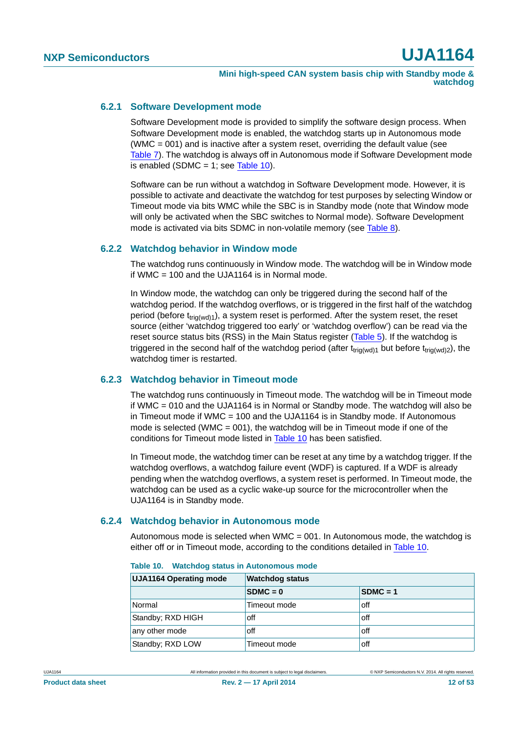#### <span id="page-11-1"></span>**6.2.1 Software Development mode**

Software Development mode is provided to simplify the software design process. When Software Development mode is enabled, the watchdog starts up in Autonomous mode (WMC = 001) and is inactive after a system reset, overriding the default value (see [Table 7](#page-9-0)). The watchdog is always off in Autonomous mode if Software Development mode is enabled (SDMC = 1; see [Table 10](#page-11-2)).

Software can be run without a watchdog in Software Development mode. However, it is possible to activate and deactivate the watchdog for test purposes by selecting Window or Timeout mode via bits WMC while the SBC is in Standby mode (note that Window mode will only be activated when the SBC switches to Normal mode). Software Development mode is activated via bits SDMC in non-volatile memory (see [Table 8](#page-10-0)).

#### <span id="page-11-3"></span>**6.2.2 Watchdog behavior in Window mode**

The watchdog runs continuously in Window mode. The watchdog will be in Window mode if WMC  $= 100$  and the UJA1164 is in Normal mode.

In Window mode, the watchdog can only be triggered during the second half of the watchdog period. If the watchdog overflows, or is triggered in the first half of the watchdog period (before  $t_{\text{tri}(wd)1}$ ), a system reset is performed. After the system reset, the reset source (either 'watchdog triggered too early' or 'watchdog overflow') can be read via the reset source status bits (RSS) in the Main Status register ([Table 5](#page-8-0)). If the watchdog is triggered in the second half of the watchdog period (after  $t_{triq(wd)1}$  but before  $t_{triq(wd)2}$ ), the watchdog timer is restarted.

### <span id="page-11-4"></span>**6.2.3 Watchdog behavior in Timeout mode**

The watchdog runs continuously in Timeout mode. The watchdog will be in Timeout mode if WMC  $= 010$  and the UJA1164 is in Normal or Standby mode. The watchdog will also be in Timeout mode if WMC = 100 and the UJA1164 is in Standby mode. If Autonomous mode is selected (WMC =  $001$ ), the watchdog will be in Timeout mode if one of the conditions for Timeout mode listed in [Table 10](#page-11-2) has been satisfied.

In Timeout mode, the watchdog timer can be reset at any time by a watchdog trigger. If the watchdog overflows, a watchdog failure event (WDF) is captured. If a WDF is already pending when the watchdog overflows, a system reset is performed. In Timeout mode, the watchdog can be used as a cyclic wake-up source for the microcontroller when the UJA1164 is in Standby mode.

#### <span id="page-11-0"></span>**6.2.4 Watchdog behavior in Autonomous mode**

Autonomous mode is selected when WMC = 001. In Autonomous mode, the watchdog is either off or in Timeout mode, according to the conditions detailed in [Table 10](#page-11-2).

| <b>UJA1164 Operating mode</b> | <b>Watchdog status</b> |            |  |  |
|-------------------------------|------------------------|------------|--|--|
|                               | $SDMC = 0$             | $SDMC = 1$ |  |  |
| Normal                        | Timeout mode           | off        |  |  |
| Standby; RXD HIGH             | off                    | off        |  |  |
| any other mode                | off                    | off        |  |  |
| Standby; RXD LOW              | Timeout mode           | off        |  |  |

<span id="page-11-2"></span>**Table 10. Watchdog status in Autonomous mode**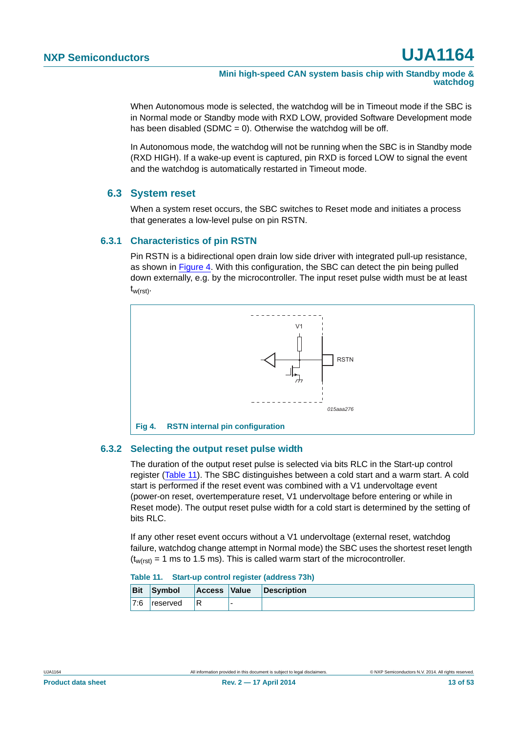**Mini high-speed CAN system basis chip with Standby mode & watchdog**

When Autonomous mode is selected, the watchdog will be in Timeout mode if the SBC is in Normal mode or Standby mode with RXD LOW, provided Software Development mode has been disabled (SDMC =  $0$ ). Otherwise the watchdog will be off.

In Autonomous mode, the watchdog will not be running when the SBC is in Standby mode (RXD HIGH). If a wake-up event is captured, pin RXD is forced LOW to signal the event and the watchdog is automatically restarted in Timeout mode.

### <span id="page-12-4"></span>**6.3 System reset**

When a system reset occurs, the SBC switches to Reset mode and initiates a process that generates a low-level pulse on pin RSTN.

#### <span id="page-12-2"></span>**6.3.1 Characteristics of pin RSTN**

Pin RSTN is a bidirectional open drain low side driver with integrated pull-up resistance, as shown in [Figure 4](#page-12-1). With this configuration, the SBC can detect the pin being pulled down externally, e.g. by the microcontroller. The input reset pulse width must be at least  $t_{w(rst)}$ .



#### <span id="page-12-3"></span><span id="page-12-1"></span>**6.3.2 Selecting the output reset pulse width**

The duration of the output reset pulse is selected via bits RLC in the Start-up control register ([Table 11\)](#page-12-0). The SBC distinguishes between a cold start and a warm start. A cold start is performed if the reset event was combined with a V1 undervoltage event (power-on reset, overtemperature reset, V1 undervoltage before entering or while in Reset mode). The output reset pulse width for a cold start is determined by the setting of bits RLC.

If any other reset event occurs without a V1 undervoltage (external reset, watchdog failure, watchdog change attempt in Normal mode) the SBC uses the shortest reset length  $(t_{w(rst)} = 1 \text{ ms to } 1.5 \text{ ms})$ . This is called warm start of the microcontroller.

<span id="page-12-0"></span>

| <b>Bit</b> | Symbol   | Access Value | <b>Description</b> |
|------------|----------|--------------|--------------------|
| 7:6        | reserved | R            |                    |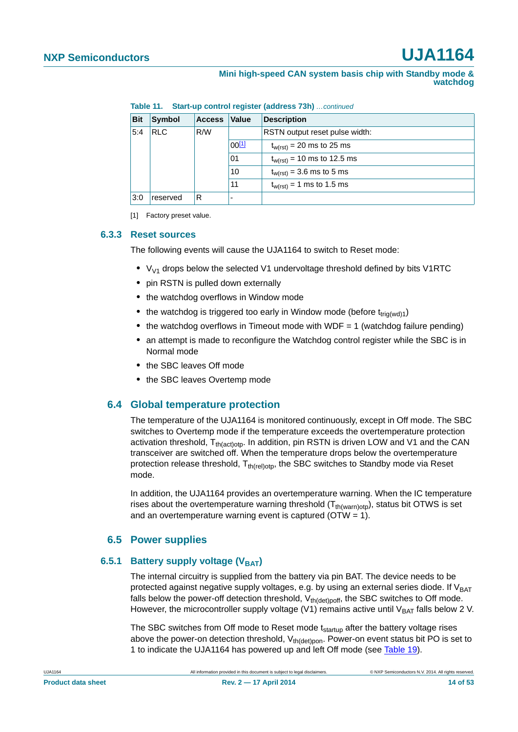| Mini high-speed CAN system basis chip with Standby mode & |  |  |  |          |  |
|-----------------------------------------------------------|--|--|--|----------|--|
|                                                           |  |  |  | watchdog |  |

**Table 11. Start-up control register (address 73h)** *…continued*

| <b>Bit</b> | <b>Symbol</b> | <b>Access</b> | <b>Value</b> | <b>Description</b>              |
|------------|---------------|---------------|--------------|---------------------------------|
| 5:4        | <b>RLC</b>    | R/W           |              | RSTN output reset pulse width:  |
|            |               |               | $00^{[1]}$   | $t_{w(rst)}$ = 20 ms to 25 ms   |
|            |               |               | 01           | $t_{w(rst)} = 10$ ms to 12.5 ms |
|            |               |               | 10           | $t_{w(rst)} = 3.6$ ms to 5 ms   |
|            |               |               | 11           | $t_{w(rst)} = 1$ ms to 1.5 ms   |
| 3:0        | reserved      | R             |              |                                 |

<span id="page-13-0"></span>[1] Factory preset value.

#### <span id="page-13-1"></span>**6.3.3 Reset sources**

The following events will cause the UJA1164 to switch to Reset mode:

- V<sub>V1</sub> drops below the selected V1 undervoltage threshold defined by bits V1RTC
- **•** pin RSTN is pulled down externally
- **•** the watchdog overflows in Window mode
- the watchdog is triggered too early in Window mode (before t<sub>trig(wd)1</sub>)
- the watchdog overflows in Timeout mode with WDF = 1 (watchdog failure pending)
- an attempt is made to reconfigure the Watchdog control register while the SBC is in Normal mode
- **•** the SBC leaves Off mode
- **•** the SBC leaves Overtemp mode

### <span id="page-13-2"></span>**6.4 Global temperature protection**

The temperature of the UJA1164 is monitored continuously, except in Off mode. The SBC switches to Overtemp mode if the temperature exceeds the overtemperature protection activation threshold,  $T_{th(action)}$ . In addition, pin RSTN is driven LOW and V1 and the CAN transceiver are switched off. When the temperature drops below the overtemperature protection release threshold,  $T_{th (rel)oto}$ , the SBC switches to Standby mode via Reset mode.

In addition, the UJA1164 provides an overtemperature warning. When the IC temperature rises about the overtemperature warning threshold  $(T<sub>th(warnbot</sub>)$ , status bit OTWS is set and an overtemperature warning event is captured ( $OTW = 1$ ).

### **6.5 Power supplies**

#### <span id="page-13-4"></span><span id="page-13-3"></span>**6.5.1 Battery supply voltage (VBAT)**

The internal circuitry is supplied from the battery via pin BAT. The device needs to be protected against negative supply voltages, e.g. by using an external series diode. If  $V_{BAT}$ falls below the power-off detection threshold,  $V_{th(det)pdf}$ , the SBC switches to Off mode. However, the microcontroller supply voltage (V1) remains active until  $V_{BAT}$  falls below 2 V.

The SBC switches from Off mode to Reset mode t<sub>startup</sub> after the battery voltage rises above the power-on detection threshold,  $V_{th(det)pon}$ . Power-on event status bit PO is set to 1 to indicate the UJA1164 has powered up and left Off mode (see [Table 19\)](#page-22-0).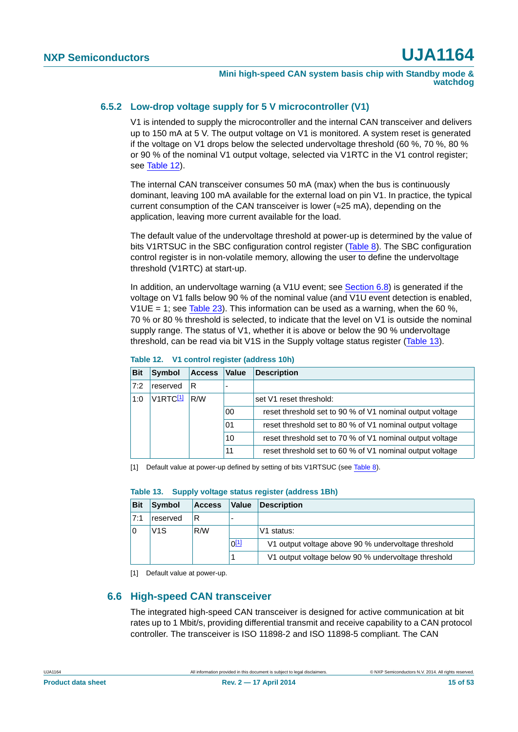#### <span id="page-14-5"></span>**6.5.2 Low-drop voltage supply for 5 V microcontroller (V1)**

V1 is intended to supply the microcontroller and the internal CAN transceiver and delivers up to 150 mA at 5 V. The output voltage on V1 is monitored. A system reset is generated if the voltage on V1 drops below the selected undervoltage threshold (60 %, 70 %, 80 % or 90 % of the nominal V1 output voltage, selected via V1RTC in the V1 control register; see [Table 12\)](#page-14-0).

The internal CAN transceiver consumes 50 mA (max) when the bus is continuously dominant, leaving 100 mA available for the external load on pin V1. In practice, the typical current consumption of the CAN transceiver is lower ( $\approx$ 25 mA), depending on the application, leaving more current available for the load.

The default value of the undervoltage threshold at power-up is determined by the value of bits V1RTSUC in the SBC configuration control register [\(Table 8\)](#page-10-0). The SBC configuration control register is in non-volatile memory, allowing the user to define the undervoltage threshold (V1RTC) at start-up.

In addition, an undervoltage warning (a  $V1U$  event; see [Section 6.8\)](#page-20-0) is generated if the voltage on V1 falls below 90 % of the nominal value (and V1U event detection is enabled, V1UE = 1; see [Table 23](#page-23-1)). This information can be used as a warning, when the 60 %, 70 % or 80 % threshold is selected, to indicate that the level on V1 is outside the nominal supply range. The status of V1, whether it is above or below the 90 % undervoltage threshold, can be read via bit V1S in the Supply voltage status register [\(Table 13\)](#page-14-1).

| <b>Bit</b> | <b>Symbol</b>        | <b>Access</b> | Value | <b>Description</b>                                       |
|------------|----------------------|---------------|-------|----------------------------------------------------------|
| 7:2        | reserved             | R             |       |                                                          |
| 1:0        | V1RTC <sup>[1]</sup> | R/W           |       | set V1 reset threshold:                                  |
|            |                      |               | 00    | reset threshold set to 90 % of V1 nominal output voltage |
|            |                      |               | 01    | reset threshold set to 80 % of V1 nominal output voltage |
|            |                      |               | 10    | reset threshold set to 70 % of V1 nominal output voltage |
|            |                      |               | 11    | reset threshold set to 60 % of V1 nominal output voltage |

#### <span id="page-14-0"></span>**Table 12. V1 control register (address 10h)**

<span id="page-14-2"></span>[1] Default value at power-up defined by setting of bits V1RTSUC (see [Table 8\)](#page-10-0).

<span id="page-14-1"></span>

| <b>Bit</b> | <b>Symbol</b> | <b>Access</b> | Value     | <b>Description</b>                                  |
|------------|---------------|---------------|-----------|-----------------------------------------------------|
| 7:1        | reserved      |               |           |                                                     |
|            | V1S           | R/W           |           | V1 status:                                          |
|            |               |               | $0^{[1]}$ | V1 output voltage above 90 % undervoltage threshold |
|            |               |               |           | V1 output voltage below 90 % undervoltage threshold |

<span id="page-14-3"></span>[1] Default value at power-up.

### <span id="page-14-4"></span>**6.6 High-speed CAN transceiver**

The integrated high-speed CAN transceiver is designed for active communication at bit rates up to 1 Mbit/s, providing differential transmit and receive capability to a CAN protocol controller. The transceiver is ISO 11898-2 and ISO 11898-5 compliant. The CAN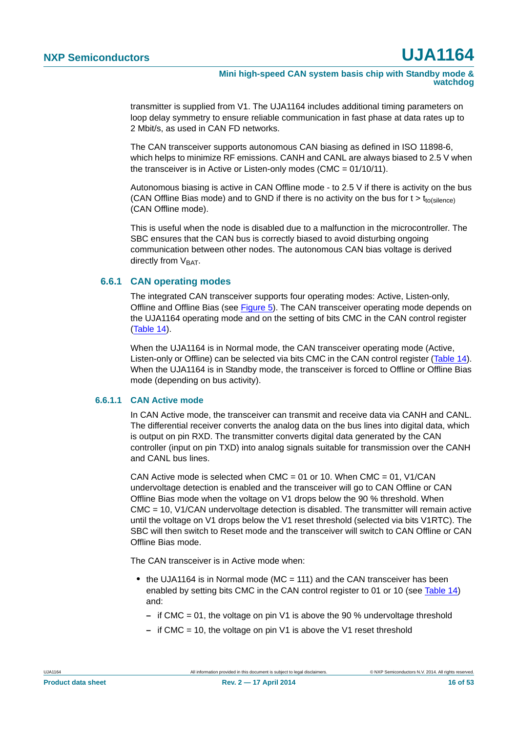transmitter is supplied from V1. The UJA1164 includes additional timing parameters on loop delay symmetry to ensure reliable communication in fast phase at data rates up to 2 Mbit/s, as used in CAN FD networks.

The CAN transceiver supports autonomous CAN biasing as defined in ISO 11898-6, which helps to minimize RF emissions. CANH and CANL are always biased to 2.5 V when the transceiver is in Active or Listen-only modes (CMC = 01/10/11).

Autonomous biasing is active in CAN Offline mode - to 2.5 V if there is activity on the bus (CAN Offline Bias mode) and to GND if there is no activity on the bus for  $t > t_{\text{to(silence)}}$ (CAN Offline mode).

This is useful when the node is disabled due to a malfunction in the microcontroller. The SBC ensures that the CAN bus is correctly biased to avoid disturbing ongoing communication between other nodes. The autonomous CAN bias voltage is derived directly from  $V<sub>BAT</sub>$ .

### <span id="page-15-0"></span>**6.6.1 CAN operating modes**

The integrated CAN transceiver supports four operating modes: Active, Listen-only, Offline and Offline Bias (see [Figure 5\)](#page-18-0). The CAN transceiver operating mode depends on the UJA1164 operating mode and on the setting of bits CMC in the CAN control register [\(Table 14](#page-19-0)).

When the UJA1164 is in Normal mode, the CAN transceiver operating mode (Active, Listen-only or Offline) can be selected via bits CMC in the CAN control register ([Table 14\)](#page-19-0). When the UJA1164 is in Standby mode, the transceiver is forced to Offline or Offline Bias mode (depending on bus activity).

#### <span id="page-15-1"></span>**6.6.1.1 CAN Active mode**

In CAN Active mode, the transceiver can transmit and receive data via CANH and CANL. The differential receiver converts the analog data on the bus lines into digital data, which is output on pin RXD. The transmitter converts digital data generated by the CAN controller (input on pin TXD) into analog signals suitable for transmission over the CANH and CANL bus lines.

CAN Active mode is selected when  $CMC = 01$  or 10. When  $CMC = 01$ , V1/CAN undervoltage detection is enabled and the transceiver will go to CAN Offline or CAN Offline Bias mode when the voltage on V1 drops below the 90 % threshold. When CMC = 10, V1/CAN undervoltage detection is disabled. The transmitter will remain active until the voltage on V1 drops below the V1 reset threshold (selected via bits V1RTC). The SBC will then switch to Reset mode and the transceiver will switch to CAN Offline or CAN Offline Bias mode.

The CAN transceiver is in Active mode when:

- **•** the UJA1164 is in Normal mode (MC = 111) and the CAN transceiver has been enabled by setting bits CMC in the CAN control register to 01 or 10 (see [Table 14](#page-19-0)) and:
	- **–** if CMC = 01, the voltage on pin V1 is above the 90 % undervoltage threshold
	- **–** if CMC = 10, the voltage on pin V1 is above the V1 reset threshold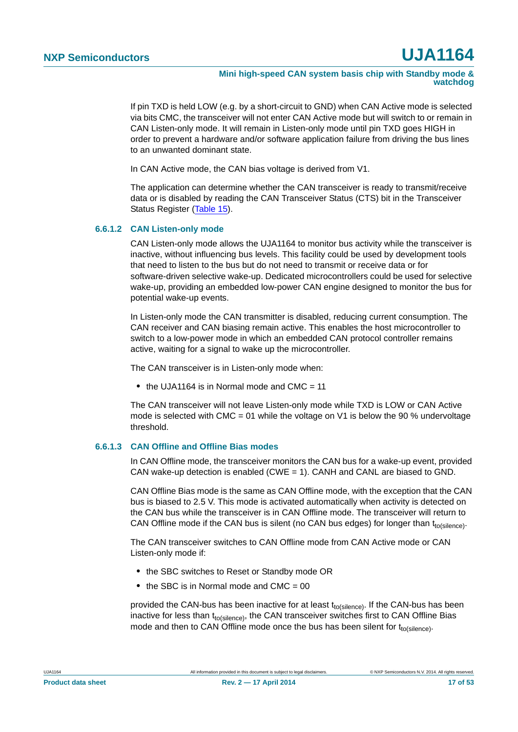**Mini high-speed CAN system basis chip with Standby mode & watchdog**

If pin TXD is held LOW (e.g. by a short-circuit to GND) when CAN Active mode is selected via bits CMC, the transceiver will not enter CAN Active mode but will switch to or remain in CAN Listen-only mode. It will remain in Listen-only mode until pin TXD goes HIGH in order to prevent a hardware and/or software application failure from driving the bus lines to an unwanted dominant state.

In CAN Active mode, the CAN bias voltage is derived from V1.

The application can determine whether the CAN transceiver is ready to transmit/receive data or is disabled by reading the CAN Transceiver Status (CTS) bit in the Transceiver Status Register ([Table 15\)](#page-19-1).

#### <span id="page-16-0"></span>**6.6.1.2 CAN Listen-only mode**

CAN Listen-only mode allows the UJA1164 to monitor bus activity while the transceiver is inactive, without influencing bus levels. This facility could be used by development tools that need to listen to the bus but do not need to transmit or receive data or for software-driven selective wake-up. Dedicated microcontrollers could be used for selective wake-up, providing an embedded low-power CAN engine designed to monitor the bus for potential wake-up events.

In Listen-only mode the CAN transmitter is disabled, reducing current consumption. The CAN receiver and CAN biasing remain active. This enables the host microcontroller to switch to a low-power mode in which an embedded CAN protocol controller remains active, waiting for a signal to wake up the microcontroller.

The CAN transceiver is in Listen-only mode when:

• the UJA1164 is in Normal mode and CMC = 11

The CAN transceiver will not leave Listen-only mode while TXD is LOW or CAN Active mode is selected with CMC = 01 while the voltage on V1 is below the 90 % undervoltage threshold.

#### <span id="page-16-1"></span>**6.6.1.3 CAN Offline and Offline Bias modes**

In CAN Offline mode, the transceiver monitors the CAN bus for a wake-up event, provided CAN wake-up detection is enabled (CWE = 1). CANH and CANL are biased to GND.

CAN Offline Bias mode is the same as CAN Offline mode, with the exception that the CAN bus is biased to 2.5 V. This mode is activated automatically when activity is detected on the CAN bus while the transceiver is in CAN Offline mode. The transceiver will return to CAN Offline mode if the CAN bus is silent (no CAN bus edges) for longer than  $t_{\text{to(silence)}}$ .

The CAN transceiver switches to CAN Offline mode from CAN Active mode or CAN Listen-only mode if:

- **•** the SBC switches to Reset or Standby mode OR
- the SBC is in Normal mode and CMC = 00

provided the CAN-bus has been inactive for at least  $t_{\text{to(silence)}}$ . If the CAN-bus has been inactive for less than  $t_{to(silence)}$ , the CAN transceiver switches first to CAN Offline Bias mode and then to CAN Offline mode once the bus has been silent for  $t_{\text{fo}(\text{silence})}$ .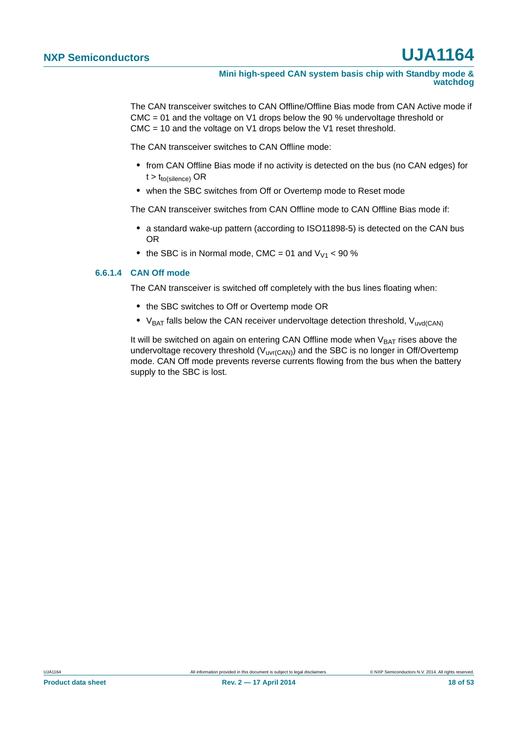The CAN transceiver switches to CAN Offline/Offline Bias mode from CAN Active mode if CMC = 01 and the voltage on V1 drops below the 90 % undervoltage threshold or CMC = 10 and the voltage on V1 drops below the V1 reset threshold.

The CAN transceiver switches to CAN Offline mode:

- **•** from CAN Offline Bias mode if no activity is detected on the bus (no CAN edges) for  $t > t_{to(silence)}$  OR
- **•** when the SBC switches from Off or Overtemp mode to Reset mode

The CAN transceiver switches from CAN Offline mode to CAN Offline Bias mode if:

- **•** a standard wake-up pattern (according to ISO11898-5) is detected on the CAN bus OR
- the SBC is in Normal mode, CMC = 01 and  $V_{V1}$  < 90 %

#### <span id="page-17-0"></span>**6.6.1.4 CAN Off mode**

The CAN transceiver is switched off completely with the bus lines floating when:

- **•** the SBC switches to Off or Overtemp mode OR
- V<sub>BAT</sub> falls below the CAN receiver undervoltage detection threshold, V<sub>uvd(CAN)</sub>

It will be switched on again on entering CAN Offline mode when  $V_{BAT}$  rises above the undervoltage recovery threshold  $(V_{UVf(CAN)})$  and the SBC is no longer in Off/Overtemp mode. CAN Off mode prevents reverse currents flowing from the bus when the battery supply to the SBC is lost.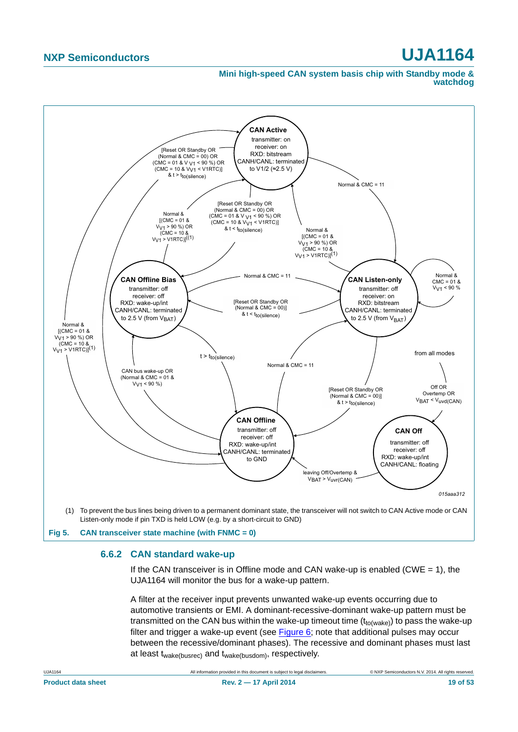#### **Mini high-speed CAN system basis chip with Standby mode & watchdog**



<span id="page-18-1"></span><span id="page-18-0"></span>**Fig 5. CAN transceiver state machine (with FNMC = 0)**

#### **6.6.2 CAN standard wake-up**

If the CAN transceiver is in Offline mode and CAN wake-up is enabled (CWE  $= 1$ ), the UJA1164 will monitor the bus for a wake-up pattern.

A filter at the receiver input prevents unwanted wake-up events occurring due to automotive transients or EMI. A dominant-recessive-dominant wake-up pattern must be transmitted on the CAN bus within the wake-up timeout time  $(t_{to(wake)})$  to pass the wake-up filter and trigger a wake-up event (see [Figure 6](#page-19-2); note that additional pulses may occur between the recessive/dominant phases). The recessive and dominant phases must last at least twake(busrec) and twake(busdom), respectively.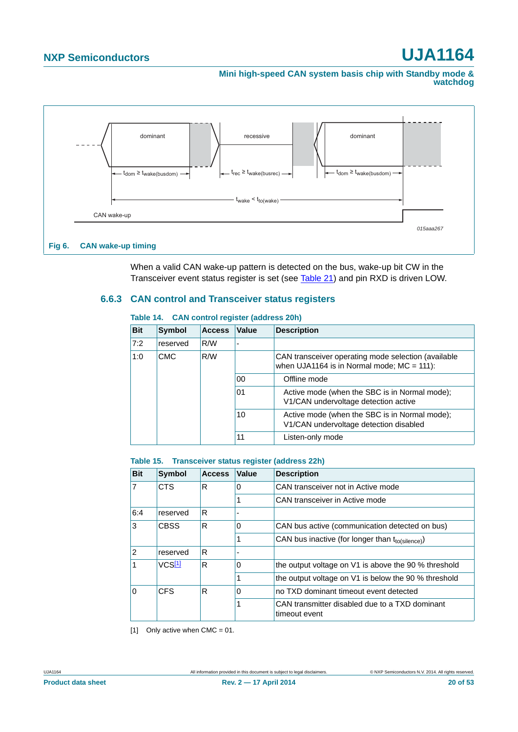**Mini high-speed CAN system basis chip with Standby mode & watchdog**



When a valid CAN wake-up pattern is detected on the bus, wake-up bit CW in the Transceiver event status register is set (see [Table 21](#page-23-2)) and pin RXD is driven LOW.

### <span id="page-19-4"></span><span id="page-19-2"></span>**6.6.3 CAN control and Transceiver status registers**

| <b>Bit</b> | Symbol     | <b>Access</b>                                                                           | Value | <b>Description</b>                                                                                  |
|------------|------------|-----------------------------------------------------------------------------------------|-------|-----------------------------------------------------------------------------------------------------|
| 7:2        | reserved   | R/W                                                                                     |       |                                                                                                     |
| 1:0        | <b>CMC</b> | R/W                                                                                     |       | CAN transceiver operating mode selection (available<br>when UJA1164 is in Normal mode; $MC = 111$ : |
|            |            |                                                                                         | 00    | Offline mode                                                                                        |
|            |            |                                                                                         | 01    | Active mode (when the SBC is in Normal mode);<br>V1/CAN undervoltage detection active               |
|            | 10         | Active mode (when the SBC is in Normal mode);<br>V1/CAN undervoltage detection disabled |       |                                                                                                     |
|            |            |                                                                                         | 11    | Listen-only mode                                                                                    |

#### <span id="page-19-0"></span>**Table 14. CAN control register (address 20h)**

#### <span id="page-19-1"></span>**Table 15. Transceiver status register (address 22h)**

| <b>Bit</b>   | <b>Symbol</b>      | <b>Access</b> | Value    | <b>Description</b>                                              |
|--------------|--------------------|---------------|----------|-----------------------------------------------------------------|
| 17           | <b>CTS</b>         | R             | 0        | CAN transceiver not in Active mode                              |
|              |                    |               |          | CAN transceiver in Active mode                                  |
| 6:4          | reserved           | R             |          |                                                                 |
| lЗ           | <b>CBSS</b><br>R   |               | 0        | CAN bus active (communication detected on bus)                  |
|              |                    |               |          | CAN bus inactive (for longer than tto(silence))                 |
| 2            | reserved           | R             |          |                                                                 |
| $\mathbf{1}$ | VCS <sub>[1]</sub> | R             | $\Omega$ | the output voltage on V1 is above the 90 % threshold            |
|              |                    |               |          | the output voltage on V1 is below the 90 % threshold            |
| 0            | <b>CFS</b>         | R             | 0        | no TXD dominant timeout event detected                          |
|              |                    |               |          | CAN transmitter disabled due to a TXD dominant<br>timeout event |

<span id="page-19-3"></span>[1] Only active when  $CMC = 01$ .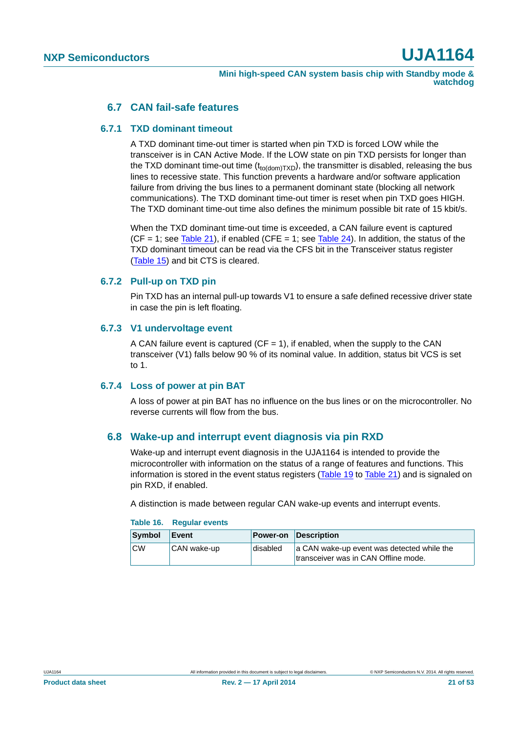### **6.7 CAN fail-safe features**

#### <span id="page-20-2"></span><span id="page-20-1"></span>**6.7.1 TXD dominant timeout**

A TXD dominant time-out timer is started when pin TXD is forced LOW while the transceiver is in CAN Active Mode. If the LOW state on pin TXD persists for longer than the TXD dominant time-out time  $(t_{\text{to}(dom)TXD})$ , the transmitter is disabled, releasing the bus lines to recessive state. This function prevents a hardware and/or software application failure from driving the bus lines to a permanent dominant state (blocking all network communications). The TXD dominant time-out timer is reset when pin TXD goes HIGH. The TXD dominant time-out time also defines the minimum possible bit rate of 15 kbit/s.

When the TXD dominant time-out time is exceeded, a CAN failure event is captured  $(CF = 1$ ; see [Table 21\)](#page-23-2), if enabled  $(CFE = 1$ ; see [Table 24](#page-23-0)). In addition, the status of the TXD dominant timeout can be read via the CFS bit in the Transceiver status register [\(Table 15](#page-19-1)) and bit CTS is cleared.

### <span id="page-20-3"></span>**6.7.2 Pull-up on TXD pin**

Pin TXD has an internal pull-up towards V1 to ensure a safe defined recessive driver state in case the pin is left floating.

#### <span id="page-20-4"></span>**6.7.3 V1 undervoltage event**

A CAN failure event is captured ( $CF = 1$ ), if enabled, when the supply to the CAN transceiver (V1) falls below 90 % of its nominal value. In addition, status bit VCS is set to 1.

#### <span id="page-20-5"></span>**6.7.4 Loss of power at pin BAT**

A loss of power at pin BAT has no influence on the bus lines or on the microcontroller. No reverse currents will flow from the bus.

### <span id="page-20-0"></span>**6.8 Wake-up and interrupt event diagnosis via pin RXD**

Wake-up and interrupt event diagnosis in the UJA1164 is intended to provide the microcontroller with information on the status of a range of features and functions. This information is stored in the event status registers [\(Table 19](#page-22-0) to [Table 21](#page-23-2)) and is signaled on pin RXD, if enabled.

A distinction is made between regular CAN wake-up events and interrupt events.

| Symbol    | Event       | Power-on | Description                                                                        |
|-----------|-------------|----------|------------------------------------------------------------------------------------|
| <b>CW</b> | CAN wake-up | disabled | a CAN wake-up event was detected while the<br>transceiver was in CAN Offline mode. |

#### **Table 16. Regular events**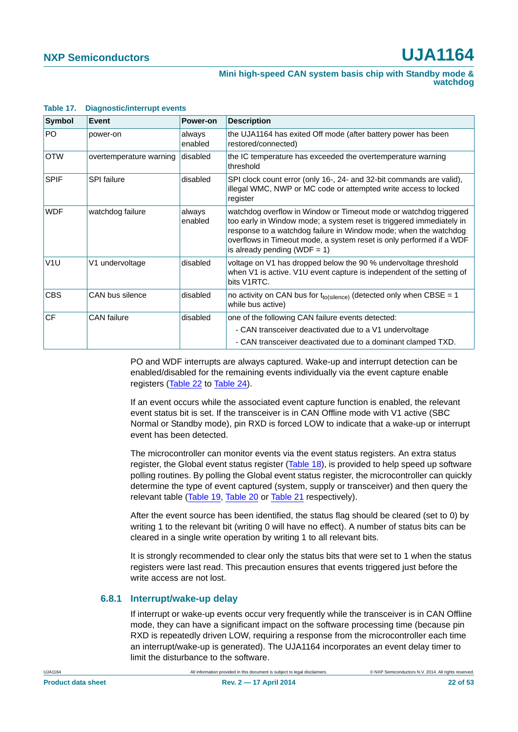| Symbol           | Event                   | Power-on          | <b>Description</b>                                                                                                                                                                                                                                                                                                    |
|------------------|-------------------------|-------------------|-----------------------------------------------------------------------------------------------------------------------------------------------------------------------------------------------------------------------------------------------------------------------------------------------------------------------|
| PO.              | power-on                | always<br>enabled | the UJA1164 has exited Off mode (after battery power has been<br>restored/connected)                                                                                                                                                                                                                                  |
| <b>OTW</b>       | overtemperature warning | disabled          | the IC temperature has exceeded the overtemperature warning<br>threshold                                                                                                                                                                                                                                              |
| <b>SPIF</b>      | <b>SPI</b> failure      | disabled          | SPI clock count error (only 16-, 24- and 32-bit commands are valid),<br>illegal WMC, NWP or MC code or attempted write access to locked<br>register                                                                                                                                                                   |
| <b>WDF</b>       | watchdog failure        | always<br>enabled | watchdog overflow in Window or Timeout mode or watchdog triggered<br>too early in Window mode; a system reset is triggered immediately in<br>response to a watchdog failure in Window mode; when the watchdog<br>overflows in Timeout mode, a system reset is only performed if a WDF<br>is already pending (WDF = 1) |
| V <sub>1</sub> U | V1 undervoltage         | disabled          | voltage on V1 has dropped below the 90 % undervoltage threshold<br>when V1 is active. V1U event capture is independent of the setting of<br>bits V1RTC.                                                                                                                                                               |
| <b>CBS</b>       | CAN bus silence         | disabled          | no activity on CAN bus for $t_{to(silence)}$ (detected only when CBSE = 1<br>while bus active)                                                                                                                                                                                                                        |
| <b>CF</b>        | <b>CAN</b> failure      | disabled          | one of the following CAN failure events detected:                                                                                                                                                                                                                                                                     |
|                  |                         |                   | - CAN transceiver deactivated due to a V1 undervoltage                                                                                                                                                                                                                                                                |
|                  |                         |                   | - CAN transceiver deactivated due to a dominant clamped TXD.                                                                                                                                                                                                                                                          |

#### **Table 17. Diagnostic/interrupt events**

PO and WDF interrupts are always captured. Wake-up and interrupt detection can be enabled/disabled for the remaining events individually via the event capture enable registers ([Table 22](#page-23-3) to [Table 24\)](#page-23-0).

If an event occurs while the associated event capture function is enabled, the relevant event status bit is set. If the transceiver is in CAN Offline mode with V1 active (SBC Normal or Standby mode), pin RXD is forced LOW to indicate that a wake-up or interrupt event has been detected.

The microcontroller can monitor events via the event status registers. An extra status register, the Global event status register ([Table 18](#page-22-1)), is provided to help speed up software polling routines. By polling the Global event status register, the microcontroller can quickly determine the type of event captured (system, supply or transceiver) and then query the relevant table [\(Table 19,](#page-22-0) [Table 20](#page-23-4) or [Table 21](#page-23-2) respectively).

After the event source has been identified, the status flag should be cleared (set to 0) by writing 1 to the relevant bit (writing 0 will have no effect). A number of status bits can be cleared in a single write operation by writing 1 to all relevant bits.

It is strongly recommended to clear only the status bits that were set to 1 when the status registers were last read. This precaution ensures that events triggered just before the write access are not lost.

#### <span id="page-21-0"></span>**6.8.1 Interrupt/wake-up delay**

If interrupt or wake-up events occur very frequently while the transceiver is in CAN Offline mode, they can have a significant impact on the software processing time (because pin RXD is repeatedly driven LOW, requiring a response from the microcontroller each time an interrupt/wake-up is generated). The UJA1164 incorporates an event delay timer to limit the disturbance to the software.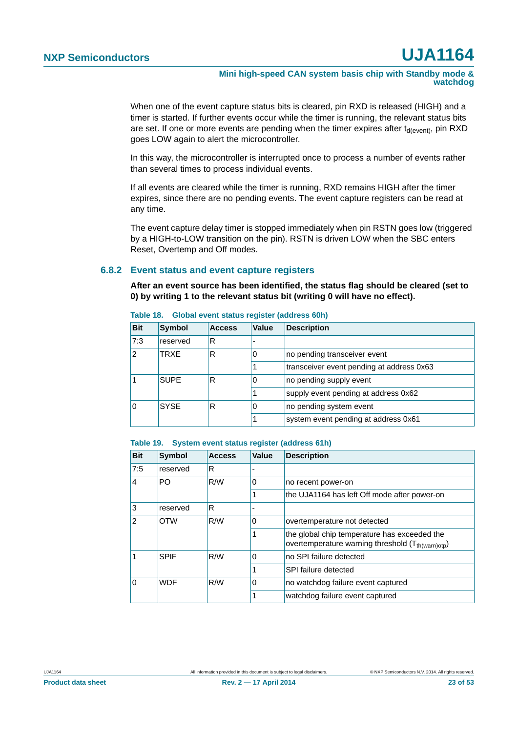**Mini high-speed CAN system basis chip with Standby mode & watchdog**

When one of the event capture status bits is cleared, pin RXD is released (HIGH) and a timer is started. If further events occur while the timer is running, the relevant status bits are set. If one or more events are pending when the timer expires after  $t_{d(event)}$ , pin RXD goes LOW again to alert the microcontroller.

In this way, the microcontroller is interrupted once to process a number of events rather than several times to process individual events.

If all events are cleared while the timer is running, RXD remains HIGH after the timer expires, since there are no pending events. The event capture registers can be read at any time.

The event capture delay timer is stopped immediately when pin RSTN goes low (triggered by a HIGH-to-LOW transition on the pin). RSTN is driven LOW when the SBC enters Reset, Overtemp and Off modes.

#### <span id="page-22-2"></span>**6.8.2 Event status and event capture registers**

**After an event source has been identified, the status flag should be cleared (set to 0) by writing 1 to the relevant status bit (writing 0 will have no effect).**

| <b>Bit</b>              | <b>Symbol</b> | <b>Access</b> | Value                                     | <b>Description</b>           |  |  |  |
|-------------------------|---------------|---------------|-------------------------------------------|------------------------------|--|--|--|
| 7:3                     | reserved      | R             |                                           |                              |  |  |  |
| $\overline{2}$          | <b>TRXE</b>   | R             |                                           | no pending transceiver event |  |  |  |
|                         |               |               | transceiver event pending at address 0x63 |                              |  |  |  |
|                         | <b>SUPE</b>   | R             |                                           | no pending supply event      |  |  |  |
|                         |               |               | supply event pending at address 0x62      |                              |  |  |  |
| <b>SYSE</b><br>$\Omega$ | R             |               | no pending system event                   |                              |  |  |  |
|                         |               |               | system event pending at address 0x61      |                              |  |  |  |

#### <span id="page-22-1"></span>**Table 18. Global event status register (address 60h)**

#### <span id="page-22-0"></span>**Table 19. System event status register (address 61h)**

| <b>Bit</b>            | <b>Symbol</b> | <b>Access</b> | Value                                        | <b>Description</b>                                                                                            |
|-----------------------|---------------|---------------|----------------------------------------------|---------------------------------------------------------------------------------------------------------------|
| 7:5                   | reserved      | R             |                                              |                                                                                                               |
| $\overline{4}$        | PO            | R/W           | 0                                            | no recent power-on                                                                                            |
|                       |               |               | the UJA1164 has left Off mode after power-on |                                                                                                               |
| 3                     | reserved      | R             |                                              |                                                                                                               |
| $\overline{2}$<br>OTW |               | R/W           | $\Omega$                                     | overtemperature not detected                                                                                  |
|                       |               |               |                                              | the global chip temperature has exceeded the<br>overtemperature warning threshold (T <sub>th(warn)otp</sub> ) |
| 1                     | <b>SPIF</b>   | R/W           | $\Omega$                                     | no SPI failure detected                                                                                       |
|                       |               |               |                                              | SPI failure detected                                                                                          |
| ۱o                    | <b>WDF</b>    | R/W           | 0                                            | no watchdog failure event captured                                                                            |
|                       |               |               |                                              | watchdog failure event captured                                                                               |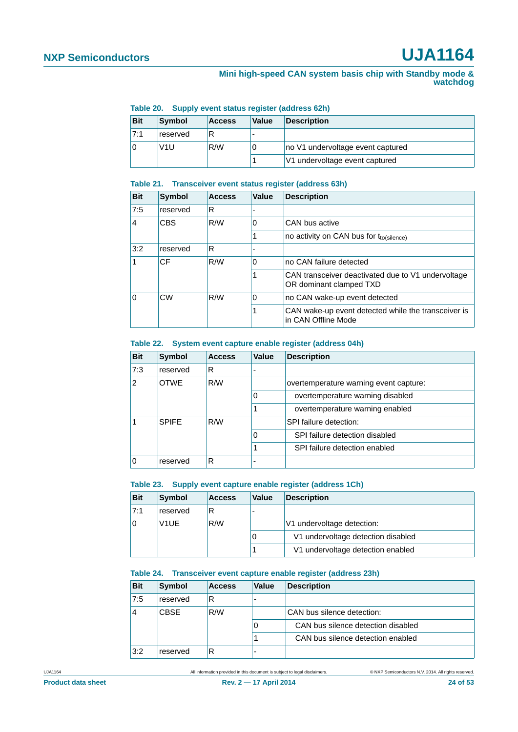#### **Mini high-speed CAN system basis chip with Standby mode & watchdog**

|            | Table Lo. Cupply Cyclic Status Fegister (audi cas dell) |               |       |                                   |  |  |  |  |
|------------|---------------------------------------------------------|---------------|-------|-----------------------------------|--|--|--|--|
| <b>Bit</b> | Symbol                                                  | <b>Access</b> | Value | <b>Description</b>                |  |  |  |  |
| 7:1        | reserved                                                |               | -     |                                   |  |  |  |  |
|            | V <sub>1</sub> U                                        | R/W           | U     | no V1 undervoltage event captured |  |  |  |  |
|            |                                                         |               |       | V1 undervoltage event captured    |  |  |  |  |

#### <span id="page-23-4"></span>**Table 20. Supply event status register (address 62h)**

#### <span id="page-23-2"></span>**Table 21. Transceiver event status register (address 63h)**

| <b>Bit</b> | <b>Symbol</b> | <b>Access</b> | Value                                               | <b>Description</b>                                                            |
|------------|---------------|---------------|-----------------------------------------------------|-------------------------------------------------------------------------------|
| 7:5        | reserved      | R             |                                                     |                                                                               |
| 4          | <b>CBS</b>    | R/W           | 0                                                   | CAN bus active                                                                |
|            |               |               | no activity on CAN bus for t <sub>to(silence)</sub> |                                                                               |
| 3:2        | reserved      | R             |                                                     |                                                                               |
|            | CF            | R/W           | 0                                                   | no CAN failure detected                                                       |
|            |               |               |                                                     | CAN transceiver deactivated due to V1 undervoltage<br>OR dominant clamped TXD |
| 0          | CW            | R/W           | 0                                                   | no CAN wake-up event detected                                                 |
|            |               |               |                                                     | CAN wake-up event detected while the transceiver is<br>in CAN Offline Mode    |

#### <span id="page-23-3"></span>**Table 22. System event capture enable register (address 04h)**

| <b>Bit</b> | Symbol             | <b>Access</b> | Value | <b>Description</b>                     |
|------------|--------------------|---------------|-------|----------------------------------------|
| 7:3        | reserved           | R             |       |                                        |
| 2          | <b>OTWE</b><br>R/W |               |       | overtemperature warning event capture: |
|            |                    |               |       | overtemperature warning disabled       |
|            |                    |               |       | overtemperature warning enabled        |
|            | <b>SPIFF</b>       | R/W           |       | SPI failure detection:                 |
|            |                    |               |       | SPI failure detection disabled         |
|            |                    |               |       | SPI failure detection enabled          |
| 0          | reserved           | R             |       |                                        |

#### <span id="page-23-1"></span>**Table 23. Supply event capture enable register (address 1Ch)**

| <b>Bit</b> | Symbol            | <b>Access</b> | Value | <b>Description</b>                 |
|------------|-------------------|---------------|-------|------------------------------------|
| 7:1        | reserved          | R             |       |                                    |
|            | V <sub>1</sub> UE | R/W           |       | V1 undervoltage detection:         |
|            |                   |               |       | V1 undervoltage detection disabled |
|            |                   |               |       | V1 undervoltage detection enabled  |

#### <span id="page-23-0"></span>**Table 24. Transceiver event capture enable register (address 23h)**

| <b>Bit</b> | Symbol      | <b>Access</b> | <b>Value</b> | <b>Description</b>                 |
|------------|-------------|---------------|--------------|------------------------------------|
| 7:5        | reserved    | R             |              |                                    |
|            | <b>CBSE</b> | R/W           |              | CAN bus silence detection:         |
|            |             |               | O            | CAN bus silence detection disabled |
|            |             |               |              | CAN bus silence detection enabled  |
| 3:2        | reserved    |               | -            |                                    |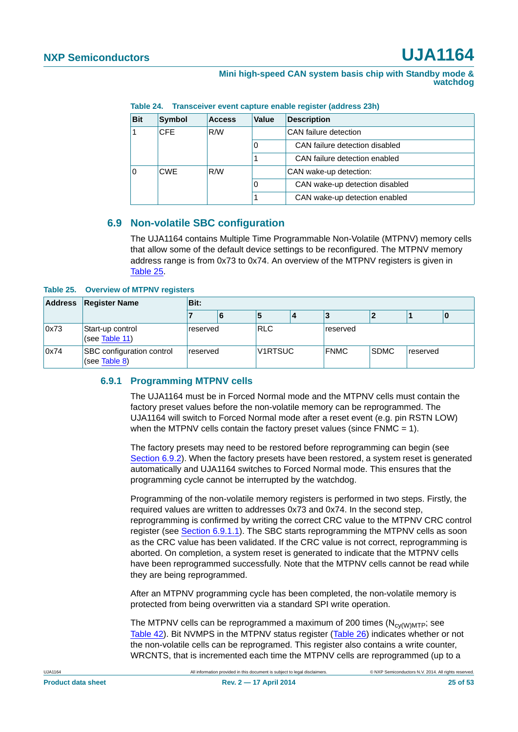**Mini high-speed CAN system basis chip with Standby mode & watchdog**

**Table 24. Transceiver event capture enable register (address 23h)**

| <b>Bit</b> | Symbol            | <b>Access</b> | Value | <b>Description</b>             |
|------------|-------------------|---------------|-------|--------------------------------|
|            | <b>CFE</b>        | R/W           |       | CAN failure detection          |
|            |                   |               | 0     | CAN failure detection disabled |
|            |                   |               |       | CAN failure detection enabled  |
| $\Omega$   | R/W<br><b>CWE</b> |               |       | CAN wake-up detection:         |
|            |                   |               | 0     | CAN wake-up detection disabled |
|            |                   |               |       | CAN wake-up detection enabled  |

### <span id="page-24-0"></span>**6.9 Non-volatile SBC configuration**

The UJA1164 contains Multiple Time Programmable Non-Volatile (MTPNV) memory cells that allow some of the default device settings to be reconfigured. The MTPNV memory address range is from 0x73 to 0x74. An overview of the MTPNV registers is given in [Table 25.](#page-24-1)

#### <span id="page-24-1"></span>**Table 25. Overview of MTPNV registers**

| Address | <b>Register Name</b>                       | Bit:     |          |            |         |          |             |          |   |  |
|---------|--------------------------------------------|----------|----------|------------|---------|----------|-------------|----------|---|--|
|         |                                            |          | 6        |            |         |          |             |          | O |  |
| 0x73    | Start-up control<br>(see Table 11)         | reserved |          | <b>RLC</b> |         | reserved |             |          |   |  |
| 0x74    | SBC configuration control<br>(see Table 8) |          | reserved |            | V1RTSUC |          | <b>SDMC</b> | reserved |   |  |

#### <span id="page-24-2"></span>**6.9.1 Programming MTPNV cells**

The UJA1164 must be in Forced Normal mode and the MTPNV cells must contain the factory preset values before the non-volatile memory can be reprogrammed. The UJA1164 will switch to Forced Normal mode after a reset event (e.g. pin RSTN LOW) when the MTPNV cells contain the factory preset values (since FNMC = 1).

The factory presets may need to be restored before reprogramming can begin (see [Section 6.9.2](#page-26-0)). When the factory presets have been restored, a system reset is generated automatically and UJA1164 switches to Forced Normal mode. This ensures that the programming cycle cannot be interrupted by the watchdog.

Programming of the non-volatile memory registers is performed in two steps. Firstly, the required values are written to addresses 0x73 and 0x74. In the second step, reprogramming is confirmed by writing the correct CRC value to the MTPNV CRC control register (see [Section 6.9.1.1](#page-25-0)). The SBC starts reprogramming the MTPNV cells as soon as the CRC value has been validated. If the CRC value is not correct, reprogramming is aborted. On completion, a system reset is generated to indicate that the MTPNV cells have been reprogrammed successfully. Note that the MTPNV cells cannot be read while they are being reprogrammed.

After an MTPNV programming cycle has been completed, the non-volatile memory is protected from being overwritten via a standard SPI write operation.

The MTPNV cells can be reprogrammed a maximum of 200 times  $(N_{\text{cv/WMTP}};$  see [Table 42\)](#page-34-0). Bit NVMPS in the MTPNV status register [\(Table 26](#page-25-1)) indicates whether or not the non-volatile cells can be reprogramed. This register also contains a write counter, WRCNTS, that is incremented each time the MTPNV cells are reprogrammed (up to a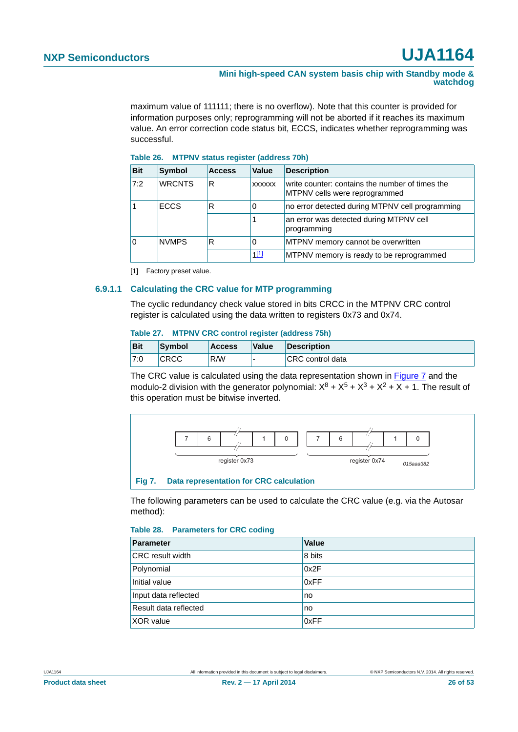#### **Mini high-speed CAN system basis chip with Standby mode & watchdog**

maximum value of 111111; there is no overflow). Note that this counter is provided for information purposes only; reprogramming will not be aborted if it reaches its maximum value. An error correction code status bit, ECCS, indicates whether reprogramming was successful.

<span id="page-25-1"></span>

| Table 26. |  |  |  | <b>MTPNV status register (address 70h)</b> |  |  |
|-----------|--|--|--|--------------------------------------------|--|--|
|-----------|--|--|--|--------------------------------------------|--|--|

| <b>Bit</b> | Symbol        | <b>Access</b> | <b>Value</b>  | <b>Description</b>                                                               |
|------------|---------------|---------------|---------------|----------------------------------------------------------------------------------|
| 7:2        | <b>WRCNTS</b> | R             | <b>XXXXXX</b> | write counter: contains the number of times the<br>MTPNV cells were reprogrammed |
|            | <b>ECCS</b>   | R             |               | no error detected during MTPNV cell programming                                  |
|            |               |               |               | an error was detected during MTPNV cell<br>programming                           |
| ١o         | <b>NVMPS</b>  | R             |               | MTPNV memory cannot be overwritten                                               |
|            |               |               | 111           | MTPNV memory is ready to be reprogrammed                                         |

<span id="page-25-2"></span>[1] Factory preset value.

#### <span id="page-25-0"></span>**6.9.1.1 Calculating the CRC value for MTP programming**

The cyclic redundancy check value stored in bits CRCC in the MTPNV CRC control register is calculated using the data written to registers 0x73 and 0x74.

#### **Table 27. MTPNV CRC control register (address 75h)**

| <b>Bit</b> | Symbol      | <b>Access</b> | <b>Value</b> | <b>Description</b> |
|------------|-------------|---------------|--------------|--------------------|
| 7:0        | <b>CRCC</b> | R/W           |              | CRC control data   |

The CRC value is calculated using the data representation shown in [Figure 7](#page-25-3) and the modulo-2 division with the generator polynomial:  $X^8 + X^5 + X^3 + X^2 + X + 1$ . The result of this operation must be bitwise inverted.



<span id="page-25-3"></span>The following parameters can be used to calculate the CRC value (e.g. via the Autosar method):

#### **Table 28. Parameters for CRC coding**

| Parameter               | Value  |
|-------------------------|--------|
| <b>CRC</b> result width | 8 bits |
| Polynomial              | 0x2F   |
| Initial value           | 0xFF   |
| Input data reflected    | no     |
| Result data reflected   | no     |
| <b>XOR</b> value        | 0xFF   |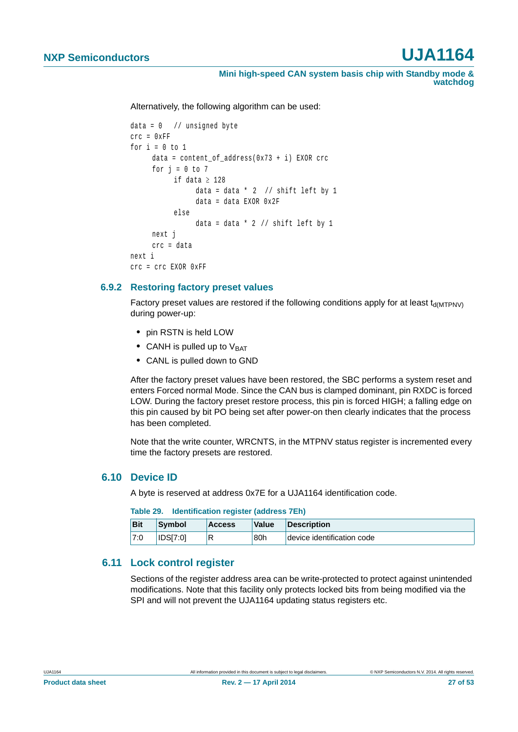**Mini high-speed CAN system basis chip with Standby mode & watchdog**

Alternatively, the following algorithm can be used:

```
data = 0 // unsigned byte
crc = 0xFF
for i = 0 to 1data = content of address(0x73 + i) EXOR crc
     for j = 0 to 7if data \geq 128data = data * 2 // shift left by 1
                data = data EXOR 0x2F
          else
                data = data * 2 // shift left by 1
     next j
     crc = data
next i
crc = crc EXOR 0xFF
```
#### <span id="page-26-0"></span>**6.9.2 Restoring factory preset values**

Factory preset values are restored if the following conditions apply for at least  $t_{\text{d(MTPNV)}}$ during power-up:

- **•** pin RSTN is held LOW
- CANH is pulled up to V<sub>BAT</sub>
- **•** CANL is pulled down to GND

After the factory preset values have been restored, the SBC performs a system reset and enters Forced normal Mode. Since the CAN bus is clamped dominant, pin RXDC is forced LOW. During the factory preset restore process, this pin is forced HIGH; a falling edge on this pin caused by bit PO being set after power-on then clearly indicates that the process has been completed.

Note that the write counter, WRCNTS, in the MTPNV status register is incremented every time the factory presets are restored.

#### <span id="page-26-1"></span>**6.10 Device ID**

A byte is reserved at address 0x7E for a UJA1164 identification code.

| Table 29. Thenthication register (address / En) |                 |               |       |                            |  |  |
|-------------------------------------------------|-----------------|---------------|-------|----------------------------|--|--|
| <b>Bit</b>                                      | Symbol          | <b>Access</b> | Value | Description                |  |  |
| 7:0                                             | <b>IDSI7:01</b> |               | 80h   | device identification code |  |  |

### **Table 29. Identification register (address 7Eh)**

#### <span id="page-26-2"></span>**6.11 Lock control register**

Sections of the register address area can be write-protected to protect against unintended modifications. Note that this facility only protects locked bits from being modified via the SPI and will not prevent the UJA1164 updating status registers etc.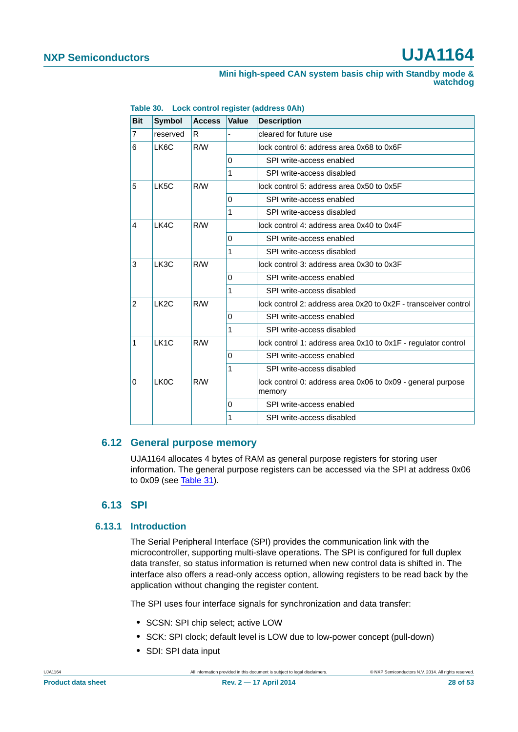#### **Mini high-speed CAN system basis chip with Standby mode & watchdog**

| <b>Bit</b>     | <b>Symbol</b>     | <b>Access</b> | <b>Value</b> | <b>Description</b>                                                    |
|----------------|-------------------|---------------|--------------|-----------------------------------------------------------------------|
| $\overline{7}$ | reserved          | R             |              | cleared for future use                                                |
| 6              | LK6C              | R/W           |              | lock control 6: address area 0x68 to 0x6F                             |
|                |                   |               | 0            | SPI write-access enabled                                              |
|                |                   |               | 1            | SPI write-access disabled                                             |
| 5              | LK5C              | R/W           |              | lock control 5: address area 0x50 to 0x5F                             |
|                |                   |               | 0            | SPI write-access enabled                                              |
|                |                   |               | 1            | SPI write-access disabled                                             |
| 4              | LK4C              | R/W           |              | lock control 4: address area 0x40 to 0x4F                             |
|                |                   |               | $\Omega$     | SPI write-access enabled                                              |
|                |                   |               | 1            | SPI write-access disabled                                             |
| 3              | LK3C              | R/W           |              | lock control 3: address area 0x30 to 0x3F                             |
|                |                   |               | 0            | SPI write-access enabled                                              |
|                |                   |               | 1            | SPI write-access disabled                                             |
| $\overline{2}$ | LK <sub>2</sub> C | R/W           |              | lock control 2: address area 0x20 to 0x2F - transceiver control       |
|                |                   |               | 0            | SPI write-access enabled                                              |
|                |                   |               | 1            | SPI write-access disabled                                             |
| 1              | LK <sub>1</sub> C | R/W           |              | lock control 1: address area 0x10 to 0x1F - regulator control         |
|                |                   |               | 0            | SPI write-access enabled                                              |
|                |                   |               | 1            | SPI write-access disabled                                             |
| 0              | LK <sub>0</sub> C | R/W           |              | lock control 0: address area 0x06 to 0x09 - general purpose<br>memory |
|                |                   |               | 0            | SPI write-access enabled                                              |
|                |                   |               | 1            | SPI write-access disabled                                             |

**Table 30. Lock control register (address 0Ah)**

#### <span id="page-27-2"></span>**6.12 General purpose memory**

UJA1164 allocates 4 bytes of RAM as general purpose registers for storing user information. The general purpose registers can be accessed via the SPI at address 0x06 to 0x09 (see [Table 31\)](#page-30-0).

### **6.13 SPI**

#### <span id="page-27-1"></span><span id="page-27-0"></span>**6.13.1 Introduction**

The Serial Peripheral Interface (SPI) provides the communication link with the microcontroller, supporting multi-slave operations. The SPI is configured for full duplex data transfer, so status information is returned when new control data is shifted in. The interface also offers a read-only access option, allowing registers to be read back by the application without changing the register content.

The SPI uses four interface signals for synchronization and data transfer:

- **•** SCSN: SPI chip select; active LOW
- **•** SCK: SPI clock; default level is LOW due to low-power concept (pull-down)
- **•** SDI: SPI data input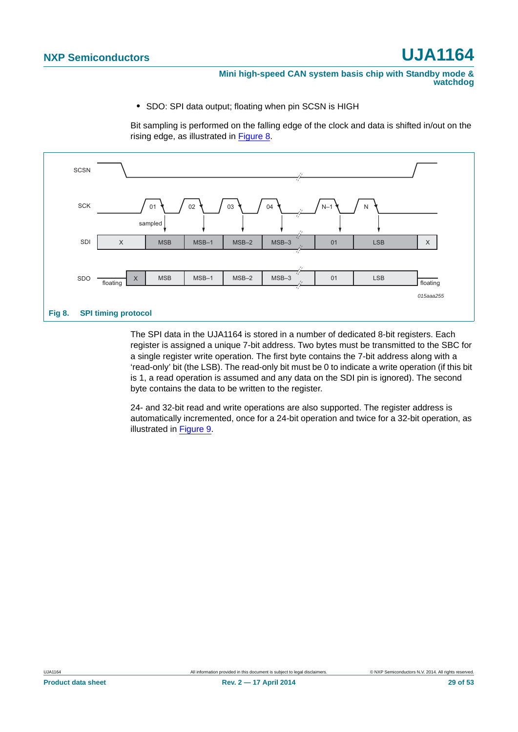#### **Mini high-speed CAN system basis chip with Standby mode & watchdog**

**•** SDO: SPI data output; floating when pin SCSN is HIGH

Bit sampling is performed on the falling edge of the clock and data is shifted in/out on the rising edge, as illustrated in [Figure 8.](#page-28-0)



<span id="page-28-0"></span>The SPI data in the UJA1164 is stored in a number of dedicated 8-bit registers. Each register is assigned a unique 7-bit address. Two bytes must be transmitted to the SBC for a single register write operation. The first byte contains the 7-bit address along with a 'read-only' bit (the LSB). The read-only bit must be 0 to indicate a write operation (if this bit is 1, a read operation is assumed and any data on the SDI pin is ignored). The second byte contains the data to be written to the register.

24- and 32-bit read and write operations are also supported. The register address is automatically incremented, once for a 24-bit operation and twice for a 32-bit operation, as illustrated in [Figure 9.](#page-29-0)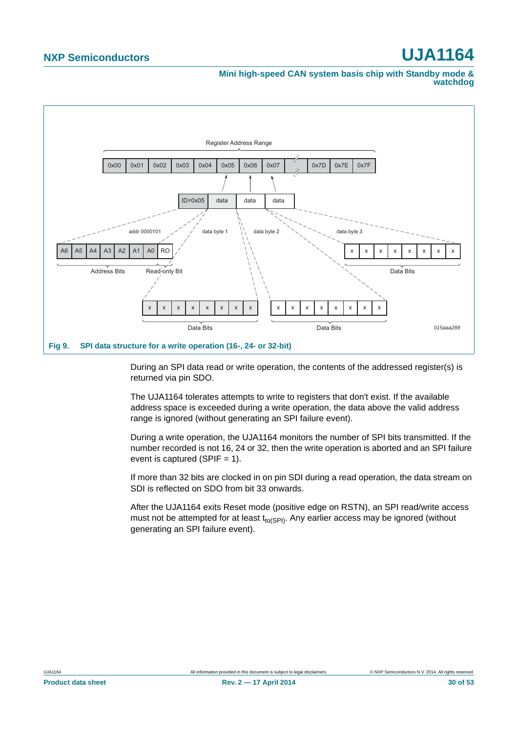**Mini high-speed CAN system basis chip with Standby mode & watchdog**



<span id="page-29-0"></span>During an SPI data read or write operation, the contents of the addressed register(s) is returned via pin SDO.

The UJA1164 tolerates attempts to write to registers that don't exist. If the available address space is exceeded during a write operation, the data above the valid address range is ignored (without generating an SPI failure event).

During a write operation, the UJA1164 monitors the number of SPI bits transmitted. If the number recorded is not 16, 24 or 32, then the write operation is aborted and an SPI failure event is captured (SPIF  $= 1$ ).

If more than 32 bits are clocked in on pin SDI during a read operation, the data stream on SDI is reflected on SDO from bit 33 onwards.

After the UJA1164 exits Reset mode (positive edge on RSTN), an SPI read/write access must not be attempted for at least  $t_{to(SPI)}$ . Any earlier access may be ignored (without generating an SPI failure event).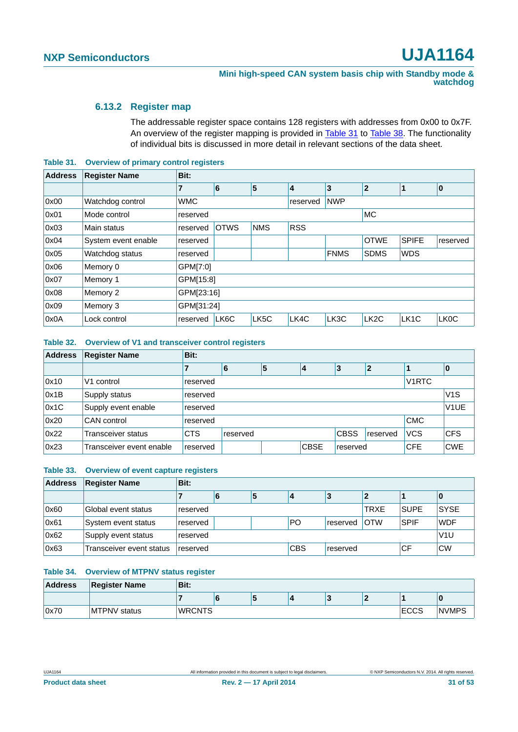#### <span id="page-30-1"></span>**6.13.2 Register map**

The addressable register space contains 128 registers with addresses from 0x00 to 0x7F. An overview of the register mapping is provided in [Table 31](#page-30-0) to [Table 38](#page-31-0). The functionality of individual bits is discussed in more detail in relevant sections of the data sheet.

<span id="page-30-0"></span>**Table 31. Overview of primary control registers**

| <b>Address</b> | <b>Register Name</b> | Bit:       |             |                   |            |             |                   |                   |                   |  |  |  |  |
|----------------|----------------------|------------|-------------|-------------------|------------|-------------|-------------------|-------------------|-------------------|--|--|--|--|
|                |                      | 7          | 6           | 5                 | 4          | 3           | $\mathbf{2}$      | 1                 | $\bf{0}$          |  |  |  |  |
| 0x00           | Watchdog control     | <b>WMC</b> |             |                   | reserved   | <b>NWP</b>  |                   |                   |                   |  |  |  |  |
| 0x01           | Mode control         | reserved   |             |                   |            |             | <b>MC</b>         |                   |                   |  |  |  |  |
| 0x03           | Main status          | reserved   | <b>OTWS</b> | <b>NMS</b>        | <b>RSS</b> |             |                   |                   |                   |  |  |  |  |
| 0x04           | System event enable  | reserved   |             |                   |            |             | <b>OTWE</b>       | <b>SPIFE</b>      | reserved          |  |  |  |  |
| 0x05           | Watchdog status      | reserved   |             |                   |            | <b>FNMS</b> | <b>SDMS</b>       | <b>WDS</b>        |                   |  |  |  |  |
| 0x06           | Memory 0             | GPM[7:0]   |             |                   |            |             |                   |                   |                   |  |  |  |  |
| 0x07           | Memory 1             | GPM[15:8]  |             |                   |            |             |                   |                   |                   |  |  |  |  |
| 0x08           | Memory 2             | GPM[23:16] |             |                   |            |             |                   |                   |                   |  |  |  |  |
| 0x09           | Memory 3             |            | GPM[31:24]  |                   |            |             |                   |                   |                   |  |  |  |  |
| 0x0A           | Lock control         | reserved   | LK6C        | LK <sub>5</sub> C | LK4C       | LK3C        | LK <sub>2</sub> C | LK <sub>1</sub> C | LK <sub>0</sub> C |  |  |  |  |

#### **Table 32. Overview of V1 and transceiver control registers**

| <b>Address</b> | <b>Register Name</b>     | Bit:       |          |   |             |             |                |                    |                   |  |  |  |  |
|----------------|--------------------------|------------|----------|---|-------------|-------------|----------------|--------------------|-------------------|--|--|--|--|
|                |                          |            | 6        | 5 | 14          | 3           | $\overline{2}$ |                    | 10                |  |  |  |  |
| 0x10           | V <sub>1</sub> control   | reserved   |          |   |             |             |                | V <sub>1</sub> RTC |                   |  |  |  |  |
| 0x1B           | Supply status            | reserved   |          |   |             |             |                |                    |                   |  |  |  |  |
| 0x1C           | Supply event enable      | reserved   |          |   |             |             |                |                    | V <sub>1</sub> UE |  |  |  |  |
| 0x20           | CAN control              | reserved   |          |   |             |             |                | <b>CMC</b>         |                   |  |  |  |  |
| 0x22           | Transceiver status       | <b>CTS</b> | reserved |   |             | <b>CBSS</b> | reserved       | <b>VCS</b>         | <b>CFS</b>        |  |  |  |  |
| 0x23           | Transceiver event enable | reserved   |          |   | <b>CBSE</b> | reserved    |                | <b>CFE</b>         | <b>CWE</b>        |  |  |  |  |

#### **Table 33. Overview of event capture registers**

| <b>Address</b> | <b>Register Name</b>     | Bit:     |                                                  |   |    |          |             |             |             |  |  |  |
|----------------|--------------------------|----------|--------------------------------------------------|---|----|----------|-------------|-------------|-------------|--|--|--|
|                |                          |          | O                                                | э |    |          |             |             | U           |  |  |  |
| 0x60           | Global event status      | reserved |                                                  |   |    |          | <b>TRXE</b> | <b>SUPE</b> | <b>SYSE</b> |  |  |  |
| 0x61           | System event status      | reserved |                                                  |   | PO | reserved | <b>OTW</b>  | <b>SPIF</b> | <b>WDF</b>  |  |  |  |
| 0x62           | Supply event status      | reserved | V1U                                              |   |    |          |             |             |             |  |  |  |
| 0x63           | Transceiver event status | reserved | <b>CF</b><br><b>CBS</b><br><b>CW</b><br>reserved |   |    |          |             |             |             |  |  |  |

#### **Table 34. Overview of MTPNV status register**

| <b>Address</b> | <b>Register Name</b> | Bit:          |             |  |  |  |  |  |  |  |  |
|----------------|----------------------|---------------|-------------|--|--|--|--|--|--|--|--|
|                |                      |               |             |  |  |  |  |  |  |  |  |
| 0x70           | <b>MTPNV</b> status  | <b>WRCNTS</b> | <b>ECCS</b> |  |  |  |  |  |  |  |  |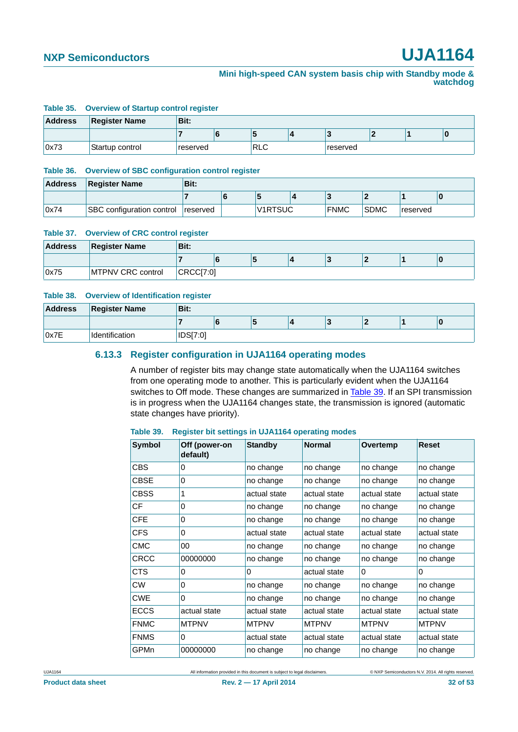#### **Mini high-speed CAN system basis chip with Standby mode & watchdog**

#### **Table 35. Overview of Startup control register**

| <b>Address</b> | <b>Register Name</b> | Bit:     |         |          |  |   |
|----------------|----------------------|----------|---------|----------|--|---|
|                |                      |          | $\cdot$ |          |  | Ю |
| 0x73           | Startup control      | reserved | ∣RLC    | reserved |  |   |

#### **Table 36. Overview of SBC configuration control register**

| <b>Address</b> | <b>Register Name</b>      | Bit:     |                |             |             |          |  |
|----------------|---------------------------|----------|----------------|-------------|-------------|----------|--|
|                |                           |          |                |             |             |          |  |
| 0x74           | SBC configuration control | reserved | <b>V1RTSUC</b> | <b>FNMC</b> | <b>SDMC</b> | reserved |  |

#### **Table 37. Overview of CRC control register**

| <b>Address</b> | <b>Register Name</b> | Bit:      |  |  |  |  |  |  |  |  |  |  |
|----------------|----------------------|-----------|--|--|--|--|--|--|--|--|--|--|
|                |                      |           |  |  |  |  |  |  |  |  |  |  |
| 0x75           | MTPNV CRC control    | CRCC[7:0] |  |  |  |  |  |  |  |  |  |  |

#### <span id="page-31-0"></span>**Table 38. Overview of Identification register**

<span id="page-31-2"></span>

| <b>Address</b> | <b>Register Name</b> | Bit:     |   |   |  |  |  |
|----------------|----------------------|----------|---|---|--|--|--|
|                |                      |          | o | ю |  |  |  |
| 0x7E           | Identification       | IDS[7:0] |   |   |  |  |  |

#### **6.13.3 Register configuration in UJA1164 operating modes**

A number of register bits may change state automatically when the UJA1164 switches from one operating mode to another. This is particularly evident when the UJA1164 switches to Off mode. These changes are summarized in [Table 39.](#page-31-1) If an SPI transmission is in progress when the UJA1164 changes state, the transmission is ignored (automatic state changes have priority).

#### <span id="page-31-1"></span>**Table 39. Register bit settings in UJA1164 operating modes**

| <b>Symbol</b> | Off (power-on<br>default) | <b>Standby</b> | <b>Normal</b> | Overtemp     | <b>Reset</b> |
|---------------|---------------------------|----------------|---------------|--------------|--------------|
| <b>CBS</b>    | 0                         | no change      | no change     | no change    | no change    |
| <b>CBSE</b>   | 0                         | no change      | no change     | no change    | no change    |
| CBSS          | 1                         | actual state   | actual state  | actual state | actual state |
| CF            | 0                         | no change      | no change     | no change    | no change    |
| <b>CFE</b>    | 0                         | no change      | no change     | no change    | no change    |
| <b>CFS</b>    | 0                         | actual state   | actual state  | actual state | actual state |
| <b>CMC</b>    | 00                        | no change      | no change     | no change    | no change    |
| CRCC          | 00000000                  | no change      | no change     | no change    | no change    |
| CTS           | 0                         | 0              | actual state  | $\Omega$     | 0            |
| <b>CW</b>     | 0                         | no change      | no change     | no change    | no change    |
| <b>CWE</b>    | 0                         | no change      | no change     | no change    | no change    |
| <b>ECCS</b>   | actual state              | actual state   | actual state  | actual state | actual state |
| <b>FNMC</b>   | <b>MTPNV</b>              | <b>MTPNV</b>   | <b>MTPNV</b>  | <b>MTPNV</b> | <b>MTPNV</b> |
| <b>FNMS</b>   | $\Omega$                  | actual state   | actual state  | actual state | actual state |
| GPMn          | 00000000                  | no change      | no change     | no change    | no change    |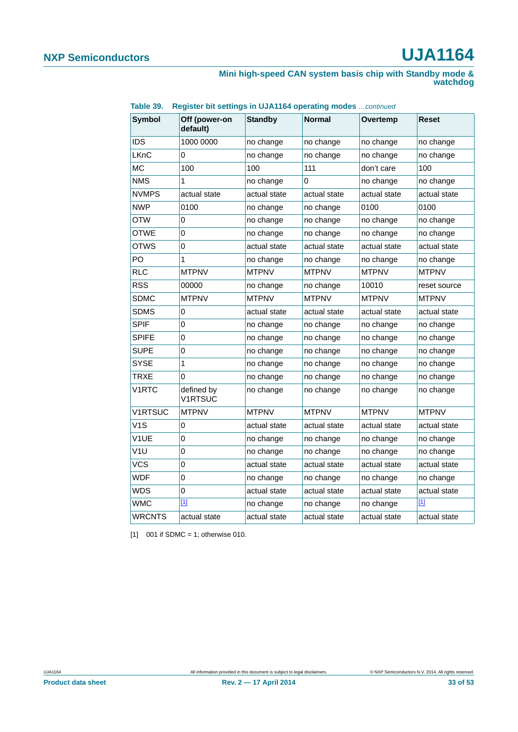#### **Mini high-speed CAN system basis chip with Standby mode & watchdog**

| <b>Symbol</b>    | Off (power-on<br>default)    | <b>Standby</b> | <b>Normal</b> | Overtemp     | Reset        |
|------------------|------------------------------|----------------|---------------|--------------|--------------|
| IDS              | 1000 0000                    | no change      | no change     | no change    | no change    |
| LKnC             | 0                            | no change      | no change     | no change    | no change    |
| <b>MC</b>        | 100                          | 100            | 111           | don't care   | 100          |
| <b>NMS</b>       | 1                            | no change      | 0             | no change    | no change    |
| <b>NVMPS</b>     | actual state                 | actual state   | actual state  | actual state | actual state |
| <b>NWP</b>       | 0100                         | no change      | no change     | 0100         | 0100         |
| OTW              | 0                            | no change      | no change     | no change    | no change    |
| <b>OTWE</b>      | 0                            | no change      | no change     | no change    | no change    |
| OTWS             | 0                            | actual state   | actual state  | actual state | actual state |
| PO               | 1                            | no change      | no change     | no change    | no change    |
| <b>RLC</b>       | <b>MTPNV</b>                 | <b>MTPNV</b>   | <b>MTPNV</b>  | <b>MTPNV</b> | <b>MTPNV</b> |
| <b>RSS</b>       | 00000                        | no change      | no change     | 10010        | reset source |
| <b>SDMC</b>      | <b>MTPNV</b>                 | <b>MTPNV</b>   | <b>MTPNV</b>  | <b>MTPNV</b> | <b>MTPNV</b> |
| <b>SDMS</b>      | 0                            | actual state   | actual state  | actual state | actual state |
| <b>SPIF</b>      | 0                            | no change      | no change     | no change    | no change    |
| <b>SPIFE</b>     | 0                            | no change      | no change     | no change    | no change    |
| <b>SUPE</b>      | 0                            | no change      | no change     | no change    | no change    |
| <b>SYSE</b>      | 1                            | no change      | no change     | no change    | no change    |
| <b>TRXE</b>      | 0                            | no change      | no change     | no change    | no change    |
| V1RTC            | defined by<br><b>V1RTSUC</b> | no change      | no change     | no change    | no change    |
| <b>V1RTSUC</b>   | <b>MTPNV</b>                 | <b>MTPNV</b>   | <b>MTPNV</b>  | <b>MTPNV</b> | <b>MTPNV</b> |
| V <sub>1</sub> S | 0                            | actual state   | actual state  | actual state | actual state |
| V1UE             | 0                            | no change      | no change     | no change    | no change    |
| V1U              | 0                            | no change      | no change     | no change    | no change    |
| <b>VCS</b>       | 0                            | actual state   | actual state  | actual state | actual state |
| WDF              | 0                            | no change      | no change     | no change    | no change    |
| WDS              | 0                            | actual state   | actual state  | actual state | actual state |
| WMC              | $[1]$                        | no change      | no change     | no change    | $[1]$        |
| WRCNTS           | actual state                 | actual state   | actual state  | actual state | actual state |

**Table 39. Register bit settings in UJA1164 operating modes** *…continued*

<span id="page-32-0"></span> $[1]$  001 if SDMC = 1; otherwise 010.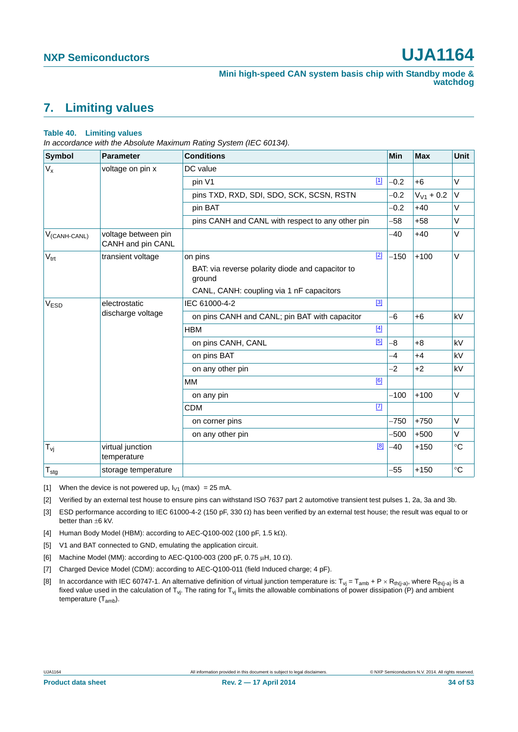# <span id="page-33-8"></span>**7. Limiting values**

#### **Table 40. Limiting values**

*In accordance with the Absolute Maximum Rating System (IEC 60134).*

| Symbol                   | <b>Parameter</b>                         | <b>Conditions</b>                                          |       | Min    | <b>Max</b>     | Unit                   |
|--------------------------|------------------------------------------|------------------------------------------------------------|-------|--------|----------------|------------------------|
| $V_{x}$                  | voltage on pin x                         | DC value                                                   |       |        |                |                        |
|                          |                                          | pin V1                                                     | $[1]$ | $-0.2$ | $+6$           | $\vee$                 |
|                          |                                          | pins TXD, RXD, SDI, SDO, SCK, SCSN, RSTN                   |       | $-0.2$ | $V_{V1}$ + 0.2 | V                      |
|                          |                                          | pin BAT                                                    |       | $-0.2$ | $+40$          | V                      |
|                          |                                          | pins CANH and CANL with respect to any other pin           |       | $-58$  | $+58$          | V                      |
| V <sub>(CANH-CANL)</sub> | voltage between pin<br>CANH and pin CANL |                                                            |       | $-40$  | $+40$          | V                      |
| $V_{\text{trt}}$         | transient voltage                        | on pins                                                    | [2]   | $-150$ | $+100$         | $\vee$                 |
|                          |                                          | BAT: via reverse polarity diode and capacitor to<br>ground |       |        |                |                        |
|                          |                                          | CANL, CANH: coupling via 1 nF capacitors                   |       |        |                |                        |
| V <sub>ESD</sub>         | electrostatic                            | IEC 61000-4-2                                              | $[3]$ |        |                |                        |
|                          | discharge voltage                        | on pins CANH and CANL; pin BAT with capacitor              |       | $-6$   | $+6$           | kV                     |
|                          |                                          | <b>HBM</b>                                                 | $[4]$ |        |                |                        |
|                          |                                          | on pins CANH, CANL                                         | [5]   | $-8$   | $+8$           | $\mathsf{k}\mathsf{V}$ |
|                          |                                          | on pins BAT                                                |       | $-4$   | $+4$           | kV                     |
|                          |                                          | on any other pin                                           |       | $-2$   | $+2$           | kV                     |
|                          |                                          | МM                                                         | [6]   |        |                |                        |
|                          |                                          | on any pin                                                 |       | $-100$ | $+100$         | V                      |
|                          |                                          | <b>CDM</b>                                                 | $[7]$ |        |                |                        |
|                          |                                          | on corner pins                                             |       | $-750$ | $+750$         | V                      |
|                          |                                          | on any other pin                                           |       | $-500$ | $+500$         | V                      |
| $T_{\mathsf{vj}}$        | virtual junction<br>temperature          |                                                            | [8]   | $-40$  | $+150$         | $^{\circ}C$            |
| $T_{\text{stg}}$         | storage temperature                      |                                                            |       | $-55$  | $+150$         | $^{\circ}C$            |

<span id="page-33-0"></span>[1] When the device is not powered up,  $I_{V1}$  (max) = 25 mA.

<span id="page-33-1"></span>[2] Verified by an external test house to ensure pins can withstand ISO 7637 part 2 automotive transient test pulses 1, 2a, 3a and 3b.

<span id="page-33-2"></span>[3] ESD performance according to IEC 61000-4-2 (150 pF, 330  $\Omega$ ) has been verified by an external test house; the result was equal to or better than  $\pm 6$  kV.

- <span id="page-33-3"></span>[4] Human Body Model (HBM): according to AEC-Q100-002 (100 pF, 1.5 k $\Omega$ ).
- <span id="page-33-4"></span>[5] V1 and BAT connected to GND, emulating the application circuit.
- <span id="page-33-5"></span>[6] Machine Model (MM): according to AEC-Q100-003 (200 pF, 0.75  $\mu$ H, 10  $\Omega$ ).
- <span id="page-33-6"></span>[7] Charged Device Model (CDM): according to AEC-Q100-011 (field Induced charge; 4 pF).
- <span id="page-33-7"></span>[8] In accordance with IEC 60747-1. An alternative definition of virtual junction temperature is:  $T_{vj} = T_{amb} + P \times R_{th(j-a)}$ , where  $R_{th(j-a)}$  is a fixed value used in the calculation of  $T_{vi}$ . The rating for  $T_{vi}$  limits the allowable combinations of power dissipation (P) and ambient temperature (Tamb).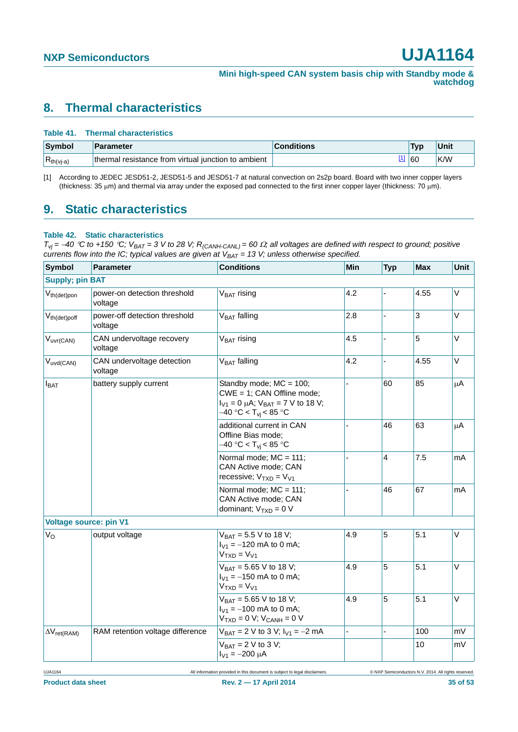# <span id="page-34-2"></span>**8. Thermal characteristics**

#### **Table 41. Thermal characteristics**

| Symbol         | Parameter                                           | <b>Conditions</b> | <b>Tyn</b> | Unit |
|----------------|-----------------------------------------------------|-------------------|------------|------|
| $R_{th(vj-a)}$ | thermal resistance from virtual junction to ambient |                   | 60         | K/W  |

<span id="page-34-1"></span>[1] According to JEDEC JESD51-2, JESD51-5 and JESD51-7 at natural convection on 2s2p board. Board with two inner copper layers (thickness: 35  $\mu$ m) and thermal via array under the exposed pad connected to the first inner copper layer (thickness: 70  $\mu$ m).

## <span id="page-34-3"></span>**9. Static characteristics**

#### <span id="page-34-0"></span>**Table 42. Static characteristics**

 $T_{Vj}$  = -40 °C to +150 °C;  $V_{BAT}$  = 3 V to 28 V; R<sub>(CANH-CANL)</sub> = 60  $\Omega$ ; all voltages are defined with respect to ground; positive *currents flow into the IC; typical values are given at V<sub>BAT</sub> = 13 V; unless otherwise specified.* 

| <b>Symbol</b>                 | <b>Parameter</b>                         | <b>Conditions</b>                                                                                                                   | Min      | <b>Typ</b>     | <b>Max</b> | Unit   |
|-------------------------------|------------------------------------------|-------------------------------------------------------------------------------------------------------------------------------------|----------|----------------|------------|--------|
| <b>Supply; pin BAT</b>        |                                          |                                                                                                                                     |          |                |            |        |
| $V_{th(det)pon}$              | power-on detection threshold<br>voltage  | $VBAT$ rising                                                                                                                       | 4.2      |                | 4.55       | V      |
| $V_{th(det)pdf}$              | power-off detection threshold<br>voltage | V <sub>BAT</sub> falling                                                                                                            | 2.8      |                | 3          | $\vee$ |
| $V_{uvr(CAN)}$                | CAN undervoltage recovery<br>voltage     | V <sub>BAT</sub> rising                                                                                                             | 4.5      | L.             | 5          | V      |
| $V_{uvd(CAN)}$                | CAN undervoltage detection<br>voltage    | $VBAT$ falling                                                                                                                      | 4.2      | ä,             | 4.55       | V      |
| $I_{BAT}$                     | battery supply current                   | Standby mode; MC = 100;<br>CWE = 1; CAN Offline mode;<br>$I_{V1} = 0 \mu A$ ; $V_{BAT} = 7 V$ to 18 V;<br>$-40 °C < T_{vi} < 85 °C$ | 60<br>85 | μA             |            |        |
|                               |                                          | additional current in CAN<br>Offline Bias mode;<br>$-40 °C < Tvi < 85 °C$                                                           |          | 46             | 63         | μA     |
|                               |                                          | Normal mode; MC = 111;<br>CAN Active mode; CAN<br>recessive; $V_{TXD} = V_{V1}$                                                     |          | $\overline{4}$ | 7.5        | mA     |
|                               |                                          | Normal mode; MC = 111;<br>CAN Active mode; CAN<br>dominant; $V_{TXD} = 0 V$                                                         |          | 46             | 67         | mA     |
| <b>Voltage source: pin V1</b> |                                          |                                                                                                                                     |          |                |            |        |
| $V_{\rm O}$                   | output voltage                           | $V_{BAT} = 5.5 V$ to 18 V;<br>$I_{V1} = -120$ mA to 0 mA;<br>$VTXD = VV1$                                                           | 4.9      | 5              | 5.1        | $\vee$ |
|                               |                                          | $V_{BAT} = 5.65 V$ to 18 V;<br>$I_{V1} = -150$ mA to 0 mA;<br>$VTXD = VV1$                                                          | 4.9      | 5              | 5.1        | V      |
|                               |                                          | $V_{BAT} = 5.65 V$ to 18 V;<br>$I_{V1} = -100$ mA to 0 mA;<br>$VTXD = 0 V; VCANH = 0 V$                                             | 4.9      | 5              | 5.1        | V      |
| $\Delta V_{ret(RAM)}$         | RAM retention voltage difference         | $V_{BAT} = 2 V$ to 3 V; $I_{V1} = -2 mA$                                                                                            |          | L.             | 100        | mV     |
|                               |                                          | $V_{BAT} = 2 V$ to 3 V;<br>$I_{V1} = -200 \mu A$                                                                                    |          |                | 10         | mV     |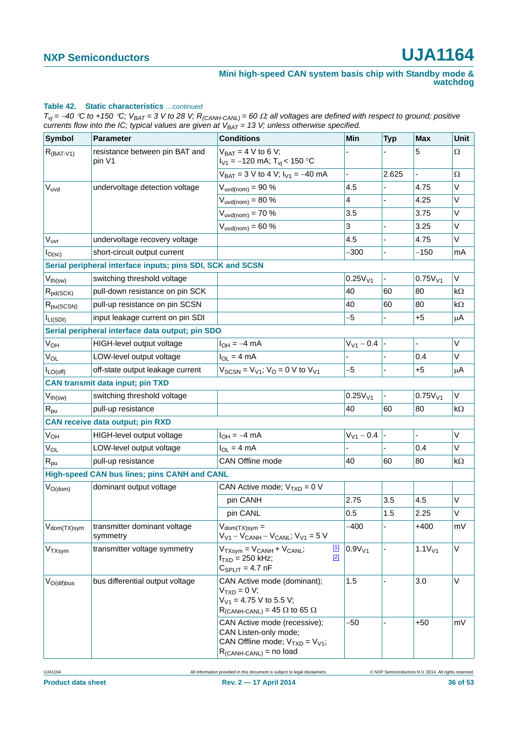#### **Table 42. Static characteristics** *…continued*

 $T_{vj}$  = -40 °C to +150 °C;  $V_{BAT}$  = 3 V to 28 V;  $R_{(CAMH-CANL)}$  = 60  $\Omega$ ; all voltages are defined with respect to ground; positive *currents flow into the IC; typical values are given at*  $V_{BAT} = 13$  *V; unless otherwise specified.* 

| Symbol                   | <b>Parameter</b>                                           | <b>Conditions</b>                                                                                                              | Min                 | <b>Typ</b> | <b>Max</b>          | Unit      |
|--------------------------|------------------------------------------------------------|--------------------------------------------------------------------------------------------------------------------------------|---------------------|------------|---------------------|-----------|
| $R_{(BAT-V1)}$           | resistance between pin BAT and<br>pin V1                   | $V_{BAT} = 4 V$ to 6 V;<br>$I_{V1} = -120$ mA; $T_{Vi}$ < 150 °C                                                               |                     |            | 5                   | $\Omega$  |
|                          |                                                            | $V_{BAT} = 3 V$ to 4 V; $I_{V1} = -40$ mA                                                                                      |                     | 2.625      |                     | $\Omega$  |
| $V_{uvd}$                | undervoltage detection voltage                             | $V_{uvd(nom)} = 90 \%$                                                                                                         | 4.5                 |            | 4.75                | V         |
|                          |                                                            | $V_{uvd(nom)} = 80 \%$                                                                                                         | 4                   |            | 4.25                | V         |
|                          |                                                            | $V_{uvd(nom)} = 70%$                                                                                                           | 3.5                 |            | 3.75                | V         |
|                          |                                                            | $V_{uvd(nom)} = 60 \%$                                                                                                         | 3                   |            | 3.25                | V         |
| V <sub>uvr</sub>         | undervoltage recovery voltage                              |                                                                                                                                | 4.5                 |            | 4.75                | V         |
| I <sub>O</sub> (sc)      | short-circuit output current                               |                                                                                                                                | -300                |            | -150                | mA        |
|                          | Serial peripheral interface inputs; pins SDI, SCK and SCSN |                                                                                                                                |                     |            |                     |           |
| $V_{th(sw)}$             | switching threshold voltage                                |                                                                                                                                | 0.25V <sub>V1</sub> |            | 0.75V <sub>V1</sub> | V         |
| $R_{pd(SCK)}$            | pull-down resistance on pin SCK                            |                                                                                                                                | 40                  | 60         | 80                  | kΩ        |
| $R_{pu(SCSN)}$           | pull-up resistance on pin SCSN                             |                                                                                                                                | 40                  | 60         | 80                  | kΩ        |
| I <sub>LI(SDI)</sub>     | input leakage current on pin SDI                           |                                                                                                                                | -5                  |            | $+5$                | $\mu$ A   |
|                          | Serial peripheral interface data output; pin SDO           |                                                                                                                                |                     |            |                     |           |
| <b>V<sub>OH</sub></b>    | HIGH-level output voltage                                  | $I_{OH} = -4$ mA                                                                                                               | $V_{V1} - 0.4$      |            | ÷.                  | V         |
| $V_{OL}$                 | LOW-level output voltage                                   | $I_{OL} = 4 mA$                                                                                                                |                     |            | 0.4                 | V         |
| $I_{LO(off)}$            | off-state output leakage current                           | $V_{SCSN} = V_{V1}$ ; $V_{O} = 0$ V to $V_{V1}$                                                                                | -5                  |            | $+5$                | μA        |
|                          | <b>CAN transmit data input; pin TXD</b>                    |                                                                                                                                |                     |            |                     |           |
| $V_{th(sw)}$             | switching threshold voltage                                |                                                                                                                                | 0.25V <sub>V1</sub> |            | 0.75V <sub>V1</sub> | V         |
| $R_{\text{pu}}$          | pull-up resistance                                         |                                                                                                                                | 40                  | 60         | 80                  | $k\Omega$ |
|                          | <b>CAN receive data output; pin RXD</b>                    |                                                                                                                                |                     |            |                     |           |
| <b>V<sub>OH</sub></b>    | HIGH-level output voltage                                  | $I_{OH} = -4$ mA                                                                                                               | $V_{V1} - 0.4$      |            | ÷.                  | V         |
| V <sub>OL</sub>          | LOW-level output voltage                                   | $I_{OL} = 4 mA$                                                                                                                |                     |            | 0.4                 | V         |
| $R_{\text{pu}}$          | pull-up resistance                                         | <b>CAN Offline mode</b>                                                                                                        | 40                  | 60         | 80                  | $k\Omega$ |
|                          | High-speed CAN bus lines; pins CANH and CANL               |                                                                                                                                |                     |            |                     |           |
| $V_{O(dom)}$             | dominant output voltage                                    | CAN Active mode; $V_{TXD} = 0 V$                                                                                               |                     |            |                     |           |
|                          |                                                            | pin CANH                                                                                                                       | 2.75                | 3.5        | 4.5                 | V         |
|                          |                                                            | pin CANL                                                                                                                       | 0.5                 | 1.5        | 2.25                | V         |
| V <sub>dom</sub> (TX)sym | transmitter dominant voltage<br>symmetry                   | $V_{\text{dom}(TX)sym} =$<br>$V_{V1} - V_{CANH} - V_{CANL}$ ; $V_{V1} = 5 V$                                                   | $-400$              |            | $+400$              | mV        |
| V <sub>TXsym</sub>       | transmitter voltage symmetry                               | $\boxed{1}$<br>$V_{TXsvm} = V_{CANH} + V_{CANL}$<br>$[2]$<br>$f_{\text{TXD}} = 250$ kHz;<br>$C_{SPLIT} = 4.7$ nF               | 0.9V <sub>V1</sub>  |            | 1.1V <sub>V1</sub>  | V         |
| $V_{O(dif)bus}$          | bus differential output voltage                            | CAN Active mode (dominant);<br>$VTXD = 0 V;$<br>$V_{V1}$ = 4.75 V to 5.5 V;<br>$R_{(CANH-CANL)} = 45 \Omega$ to 65 $\Omega$    | 1.5                 |            | 3.0                 | V         |
|                          |                                                            | CAN Active mode (recessive);<br>CAN Listen-only mode;<br>CAN Offline mode; $V_{TXD} = V_{V1}$ ;<br>$R_{(CANH-CANL)}$ = no load | -50                 |            | $+50$               | mV        |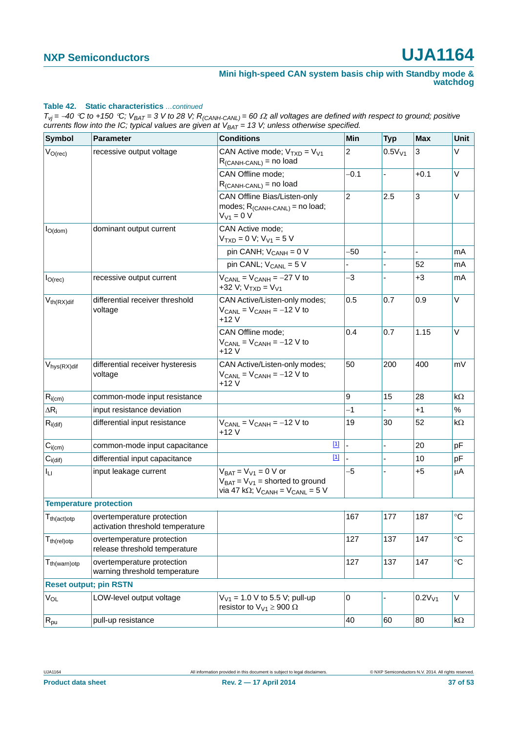#### **Table 42. Static characteristics** *…continued*

 $T_{vj}$  = -40 °C to +150 °C;  $V_{BAT}$  = 3 V to 28 V;  $R_{(CAMH-CANL)}$  = 60  $\Omega$ ; all voltages are defined with respect to ground; positive *currents flow into the IC; typical values are given at*  $V_{BAT} = 13$  *V; unless otherwise specified.* 

| <b>Symbol</b>                  | <b>Parameter</b>                                               | <b>Conditions</b>                                                                                                                        | Min            | <b>Typ</b>  | <b>Max</b>  | Unit        |
|--------------------------------|----------------------------------------------------------------|------------------------------------------------------------------------------------------------------------------------------------------|----------------|-------------|-------------|-------------|
| $V_{O(rec)}$                   | recessive output voltage                                       | CAN Active mode; $V_{TXD} = V_{V1}$<br>$R_{(CANH-CANL)}$ = no load                                                                       | $\overline{c}$ | $0.5V_{V1}$ | 3           | V           |
|                                |                                                                | CAN Offline mode;<br>$R_{(CANH-CANL)}$ = no load                                                                                         | $-0.1$         |             | $+0.1$      | V           |
|                                |                                                                | CAN Offline Bias/Listen-only<br>modes; $R_{(CANH-CANL)}$ = no load;<br>$V_{V1} = 0 V$                                                    | $\overline{c}$ | 2.5         | 3           | V           |
| $I_{O(dom)}$                   | dominant output current                                        | CAN Active mode:<br>$VTXD = 0 V; VV1 = 5 V$                                                                                              |                |             |             |             |
|                                |                                                                | pin CANH; $V_{CANH} = 0 V$                                                                                                               | $-50$          |             |             | mA          |
|                                |                                                                | pin CANL; $V_{CANL} = 5 V$                                                                                                               |                |             | 52          | mA          |
| $I_{O(rec)}$                   | recessive output current                                       | $V_{CANL}$ = $V_{CANH}$ = $-27$ V to<br>+32 V; $V_{TXD} = V_{V1}$                                                                        | -3             |             | $+3$        | mA          |
| $V_{th(RX)dif}$                | differential receiver threshold<br>voltage                     | CAN Active/Listen-only modes;<br>$V_{CANL}$ = $V_{CANH}$ = -12 V to<br>$+12V$                                                            | 0.5            | 0.7         | 0.9         | V           |
|                                |                                                                | CAN Offline mode;<br>$V_{CANL} = V_{CANH} = -12 V$ to<br>+12 V                                                                           | 0.4            | 0.7         | 1.15        | V           |
| $V_{\text{hys}(RX)$ dif        | differential receiver hysteresis<br>voltage                    | CAN Active/Listen-only modes;<br>$V_{CANL}$ = $V_{CANH}$ = -12 V to<br>$+12V$                                                            | 50             | 200         | 400         | mV          |
| $R_{i(cm)}$                    | common-mode input resistance                                   |                                                                                                                                          | 9              | 15          | 28          | $k\Omega$   |
| $\Delta R_i$                   | input resistance deviation                                     |                                                                                                                                          | $-1$           |             | $+1$        | %           |
| $R_{i(\text{dif})}$            | differential input resistance                                  | $V_{CANL}$ = $V_{CANH}$ = -12 V to<br>+12 V                                                                                              | 19             | 30          | 52          | kΩ          |
| $C_{i(cm)}$                    | common-mode input capacitance                                  | $[1]$                                                                                                                                    |                | ÷.          | 20          | рF          |
| $C_{i\left(\text{dif}\right)}$ | differential input capacitance                                 | $[1]$                                                                                                                                    |                |             | 10          | pF          |
| ĪЦ                             | input leakage current                                          | $V_{BAT} = V_{V1} = 0 V$ or<br>$V_{BAT} = V_{V1}$ = shorted to ground<br>via 47 k $\Omega$ ; V <sub>CANH</sub> = V <sub>CANL</sub> = 5 V | -5             |             | $+5$        | μA          |
| <b>Temperature protection</b>  |                                                                |                                                                                                                                          |                |             |             |             |
| $T_{th (act)otp}$              | overtemperature protection<br>activation threshold temperature |                                                                                                                                          | 167            | 177         | 187         | $^{\circ}C$ |
| $T_{th (rel)otp}$              | overtemperature protection<br>release threshold temperature    |                                                                                                                                          | 127            | 137         | 147         | $^{\circ}C$ |
| $T_{th(warn)otp}$              | overtemperature protection<br>warning threshold temperature    |                                                                                                                                          | 127            | 137         | 147         | $\circ$ C   |
| <b>Reset output; pin RSTN</b>  |                                                                |                                                                                                                                          |                |             |             |             |
| $V_{OL}$                       | LOW-level output voltage                                       | $V_{V1}$ = 1.0 V to 5.5 V; pull-up<br>resistor to $V_{V1} \ge 900 \Omega$                                                                | 0              |             | $0.2V_{V1}$ | V           |
| $R_{\text{pu}}$                | pull-up resistance                                             |                                                                                                                                          | 40             | 60          | 80          | $k\Omega$   |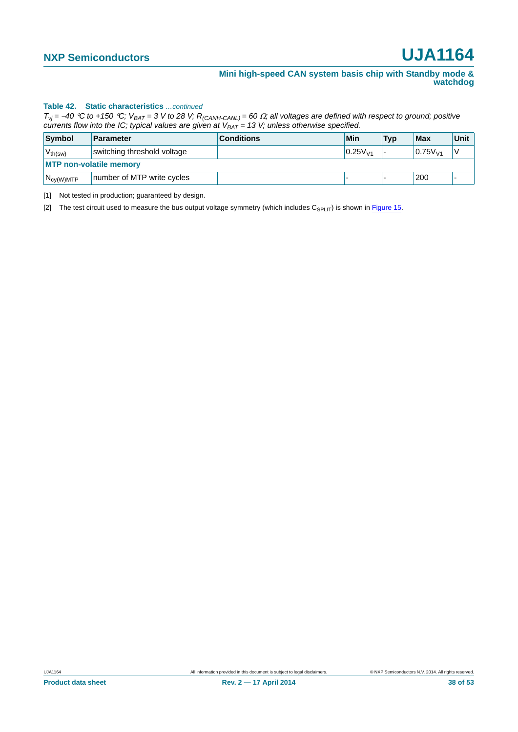#### **Table 42. Static characteristics** *…continued*

 $T_{Vj}$  = -40 °C to +150 °C;  $V_{BAT}$  = 3 V to 28 V;  $R_{(CAMH-CANL)}$  = 60  $\Omega$ ; all voltages are defined with respect to ground; positive *currents flow into the IC; typical values are given at*  $V_{BAT} = 13$  *V; unless otherwise specified.* 

| Symbol                         | <b>Parameter</b>            | <b>Conditions</b> | Min          | <b>Typ</b> | Max                 | Unit |  |
|--------------------------------|-----------------------------|-------------------|--------------|------------|---------------------|------|--|
| $V_{th(sw)}$                   | switching threshold voltage |                   | $0.25V_{14}$ |            | 0.75V <sub>V1</sub> |      |  |
| <b>MTP non-volatile memory</b> |                             |                   |              |            |                     |      |  |
| $N_{cy(W)MTP}$                 | number of MTP write cycles  |                   |              |            | 200                 |      |  |

<span id="page-37-0"></span>[1] Not tested in production; guaranteed by design.

<span id="page-37-1"></span>[2] The test circuit used to measure the bus output voltage symmetry (which includes  $C_{\text{SPI IT}}$ ) is shown in [Figure 15](#page-43-0).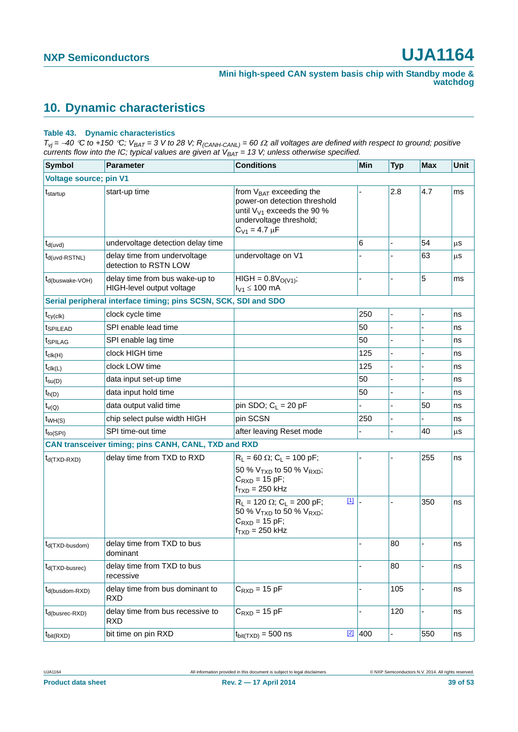# <span id="page-38-1"></span>**10. Dynamic characteristics**

#### <span id="page-38-0"></span>**Table 43. Dynamic characteristics**

 $T_{Vj}$  = -40 °C to +150 °C;  $V_{BAT}$  = 3 V to 28 V; R<sub>(CANH-CANL)</sub> = 60  $\Omega$ ; all voltages are defined with respect to ground; positive *currents flow into the IC; typical values are given at VBAT = 13 V; unless otherwise specified.*

| <b>Symbol</b>                 | <b>Parameter</b>                                                | <b>Conditions</b>                                                                                                                                                         | <b>Min</b> | <b>Typ</b> | <b>Max</b> | Unit |
|-------------------------------|-----------------------------------------------------------------|---------------------------------------------------------------------------------------------------------------------------------------------------------------------------|------------|------------|------------|------|
| <b>Voltage source; pin V1</b> |                                                                 |                                                                                                                                                                           |            |            |            |      |
| t <sub>startup</sub>          | start-up time                                                   | from V <sub>BAT</sub> exceeding the<br>power-on detection threshold<br>until $V_{V1}$ exceeds the 90 %<br>undervoltage threshold;<br>$C_{V1} = 4.7 \mu F$                 |            | 2.8        | 4.7        | ms   |
| $t_{d(uvd)}$                  | undervoltage detection delay time                               |                                                                                                                                                                           | 6          |            | 54         | μS   |
| $t_{d(uvd-RSTNL)}$            | delay time from undervoltage<br>detection to RSTN LOW           | undervoltage on V1                                                                                                                                                        |            |            | 63         | μS   |
| $t_{d(buswake-VOH)}$          | delay time from bus wake-up to<br>HIGH-level output voltage     | $HIGH = 0.8VO(V1);$<br>$I_{V1} \le 100$ mA                                                                                                                                |            |            | 5          | ms   |
|                               | Serial peripheral interface timing; pins SCSN, SCK, SDI and SDO |                                                                                                                                                                           |            |            |            |      |
| $t_{cy(clk)}$                 | clock cycle time                                                |                                                                                                                                                                           | 250        | L,         |            | ns   |
| <b>t</b> SPILEAD              | SPI enable lead time                                            |                                                                                                                                                                           | 50         |            |            | ns   |
| t <sub>SPILAG</sub>           | SPI enable lag time                                             |                                                                                                                                                                           | 50         |            |            | ns   |
| $t_{\text{clk(H)}}$           | clock HIGH time                                                 |                                                                                                                                                                           | 125        |            |            | ns   |
| $t_{\text{clk}(L)}$           | clock LOW time                                                  |                                                                                                                                                                           | 125        |            |            | ns   |
| $t_{\text{su}(D)}$            | data input set-up time                                          |                                                                                                                                                                           | 50         |            |            | ns   |
| $t_{h(D)}$                    | data input hold time                                            |                                                                                                                                                                           | 50         |            |            | ns   |
| $t_{\nu(Q)}$                  | data output valid time                                          | pin SDO; $C_L$ = 20 pF                                                                                                                                                    |            |            | 50         | ns   |
| $t_{WH(S)}$                   | chip select pulse width HIGH                                    | pin SCSN                                                                                                                                                                  | 250        |            |            | ns   |
| $t_{\text{to(SPI)}}$          | SPI time-out time                                               | after leaving Reset mode                                                                                                                                                  |            |            | 40         | μS   |
|                               | CAN transceiver timing; pins CANH, CANL, TXD and RXD            |                                                                                                                                                                           |            |            |            |      |
| $t_{d(TXD-RXD)}$              | delay time from TXD to RXD                                      | $R_L = 60 \Omega$ ; C <sub>L</sub> = 100 pF;                                                                                                                              |            |            | 255        | ns   |
|                               |                                                                 | 50 % $V_{TXD}$ to 50 % $V_{RXD}$ ;<br>$C_{\text{RXD}} = 15 \text{ pF}$ ;<br>$f_{TXD}$ = 250 kHz                                                                           |            |            |            |      |
|                               |                                                                 | $[1]$<br>$R_L$ = 120 $\Omega$ ; C <sub>L</sub> = 200 pF;<br>50 % V <sub>TXD</sub> to 50 % V <sub>RXD</sub> ;<br>$C_{\text{RXD}} = 15 \text{ pF}$ ;<br>$f_{TXD} = 250$ kHz |            |            | 350        | ns   |
| t <sub>d</sub> (TXD-busdom)   | delay time from TXD to bus<br>dominant                          |                                                                                                                                                                           |            | 80         |            | ns   |
| $t_{d(TXD-busrec)}$           | delay time from TXD to bus<br>recessive                         |                                                                                                                                                                           |            | 80         |            | ns   |
| $t_{d(busdom-RXD)}$           | delay time from bus dominant to<br><b>RXD</b>                   | $C_{\text{RXD}} = 15$ pF                                                                                                                                                  |            | 105        |            | ns   |
| $t_{d(busrec-RXD)}$           | delay time from bus recessive to<br><b>RXD</b>                  | $C_{\text{RXD}} = 15$ pF                                                                                                                                                  |            | 120        | L,         | ns   |
| $t_{\text{bit(RXD)}}$         | bit time on pin RXD                                             | $[2]$<br>$t_{\text{bit(TXD)}} = 500$ ns                                                                                                                                   | 400        |            | 550        | ns   |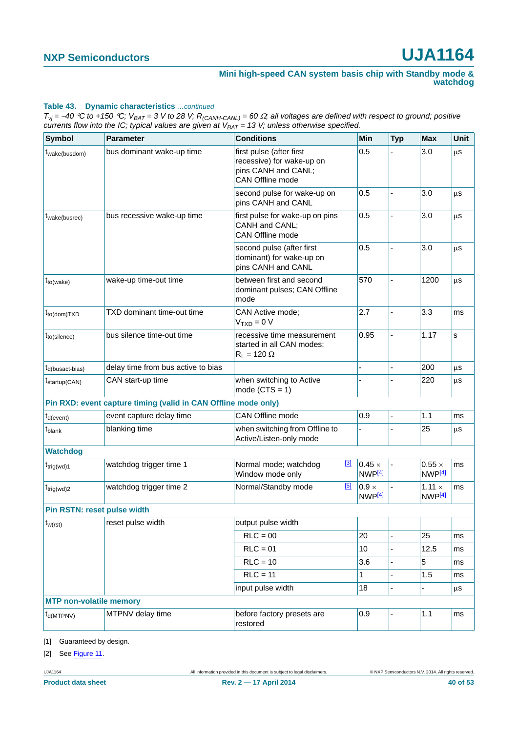#### **Table 43. Dynamic characteristics** *…continued*

 $T_{Vj}$  = -40 °C to +150 °C;  $V_{BAT}$  = 3 V to 28 V;  $R_{(CAMH-CANL)}$  = 60  $\Omega$ ; all voltages are defined with respect to ground; positive *currents flow into the IC; typical values are given at*  $V_{BAT} = 13$  *V; unless otherwise specified.* 

| <b>Symbol</b>                  | <b>Parameter</b>                                               | <b>Conditions</b>                                                                                | Min                                 | <b>Typ</b> | <b>Max</b>                          | <b>Unit</b> |
|--------------------------------|----------------------------------------------------------------|--------------------------------------------------------------------------------------------------|-------------------------------------|------------|-------------------------------------|-------------|
| t <sub>wake(busdom)</sub>      | bus dominant wake-up time                                      | first pulse (after first<br>recessive) for wake-up on<br>pins CANH and CANL;<br>CAN Offline mode | 0.5                                 |            | 3.0                                 | μS          |
|                                |                                                                | second pulse for wake-up on<br>pins CANH and CANL                                                | 0.5                                 |            | 3.0                                 | μS          |
| t <sub>wake</sub> (busrec)     | bus recessive wake-up time                                     | first pulse for wake-up on pins<br>CANH and CANL;<br>CAN Offline mode                            | 0.5                                 |            | 3.0                                 | μS          |
|                                |                                                                | second pulse (after first<br>0.5<br>dominant) for wake-up on<br>pins CANH and CANL               | 3.0                                 | μS         |                                     |             |
| $t_{to(wake)}$                 | wake-up time-out time                                          | between first and second<br>dominant pulses; CAN Offline<br>mode                                 | 570                                 |            | 1200                                | μS          |
| $t_{to (dom)TXD}$              | TXD dominant time-out time                                     | CAN Active mode:<br>$VTXD = 0 V$                                                                 | 2.7                                 |            | 3.3                                 | ms          |
| $t_{to(silence)}$              | bus silence time-out time                                      | recessive time measurement<br>started in all CAN modes;<br>$R_L$ = 120 $\Omega$                  | 0.95                                |            | 1.17                                | s           |
| t <sub>d</sub> (busact-bias)   | delay time from bus active to bias                             |                                                                                                  |                                     |            | 200                                 | μS          |
| $t_{\text{startup}(CAN)}$      | CAN start-up time                                              | when switching to Active<br>mode $(CTS = 1)$                                                     |                                     |            | 220                                 | μS          |
|                                | Pin RXD: event capture timing (valid in CAN Offline mode only) |                                                                                                  |                                     |            |                                     |             |
| $t_{d(event)}$                 | event capture delay time                                       | CAN Offline mode                                                                                 | 0.9                                 |            | 1.1                                 | ms          |
| t <sub>blank</sub>             | blanking time                                                  | when switching from Offline to<br>Active/Listen-only mode                                        |                                     |            | 25                                  | μS          |
| <b>Watchdog</b>                |                                                                |                                                                                                  |                                     |            |                                     |             |
| $t_{\text{trig(wd)}1}$         | watchdog trigger time 1                                        | $^{[3]}$<br>Normal mode; watchdog<br>Window mode only                                            | $0.45 \times$<br>NWP <sup>[4]</sup> |            | $0.55 \times$<br>NWP <sup>[4]</sup> | ms          |
| $t_{\text{trig(wd)}2}$         | watchdog trigger time 2                                        | [5]<br>Normal/Standby mode                                                                       | $0.9 \times$<br>NWP <sup>[4]</sup>  |            | $1.11 \times$<br>NWP <sup>[4]</sup> | ms          |
| Pin RSTN: reset pulse width    |                                                                |                                                                                                  |                                     |            |                                     |             |
| $t_{w(rst)}$                   | reset pulse width                                              | output pulse width                                                                               |                                     |            |                                     |             |
|                                |                                                                | $RLC = 00$                                                                                       | 20                                  |            | 25                                  | ms          |
|                                |                                                                | $RLC = 01$                                                                                       | 10                                  |            | 12.5                                | ms          |
|                                |                                                                | $RLC = 10$                                                                                       | 3.6                                 |            | 5                                   | ms          |
|                                |                                                                | $RLC = 11$                                                                                       | 1                                   |            | 1.5                                 | ms          |
|                                |                                                                | input pulse width                                                                                | 18                                  |            |                                     | μs          |
| <b>MTP non-volatile memory</b> |                                                                |                                                                                                  |                                     |            |                                     |             |
| $t_{\text{d(MTPNV)}}$          | MTPNV delay time                                               | before factory presets are<br>restored                                                           | 0.9                                 |            | 1.1                                 | ms          |

<span id="page-39-0"></span>[1] Guaranteed by design.

<span id="page-39-1"></span>[2] See [Figure 11.](#page-40-3)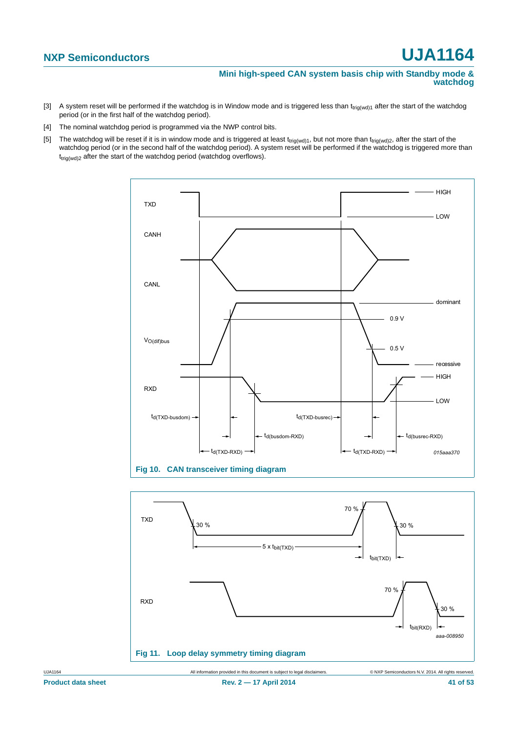**Mini high-speed CAN system basis chip with Standby mode & watchdog**

- <span id="page-40-0"></span>[3] A system reset will be performed if the watchdog is in Window mode and is triggered less than  $t_{\text{tri}}(wd)1$  after the start of the watchdog period (or in the first half of the watchdog period).
- <span id="page-40-1"></span>[4] The nominal watchdog period is programmed via the NWP control bits.
- <span id="page-40-2"></span>[5] The watchdog will be reset if it is in window mode and is triggered at least t<sub>trig(wd)1</sub>, but not more than t<sub>trig(wd)2</sub>, after the start of the watchdog period (or in the second half of the watchdog period). A system reset will be performed if the watchdog is triggered more than  $t_{\text{triq(wd)}2}$  after the start of the watchdog period (watchdog overflows).





<span id="page-40-3"></span>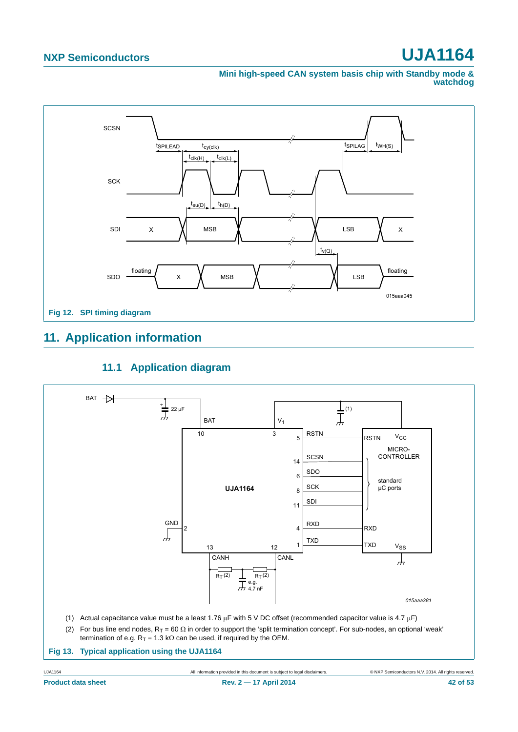**Mini high-speed CAN system basis chip with Standby mode & watchdog**



# <span id="page-41-0"></span>**11. Application information**

### **11.1 Application diagram**

<span id="page-41-1"></span>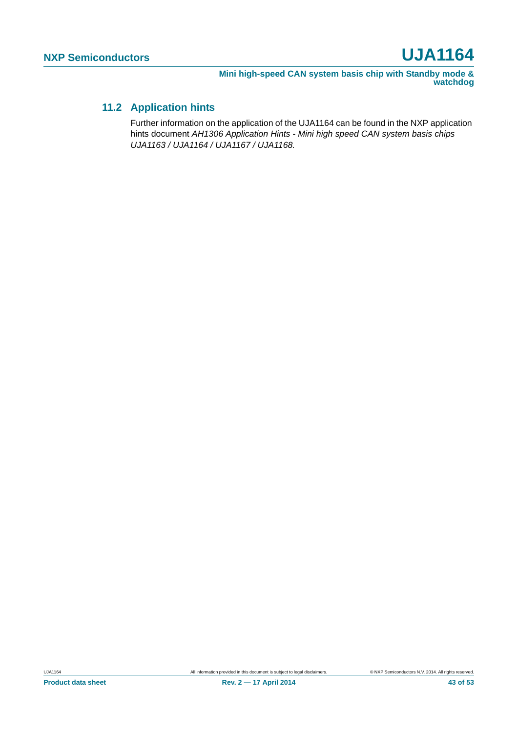### <span id="page-42-0"></span>**11.2 Application hints**

Further information on the application of the UJA1164 can be found in the NXP application hints document *AH1306 Application Hints - Mini high speed CAN system basis chips UJA1163 / UJA1164 / UJA1167 / UJA1168.*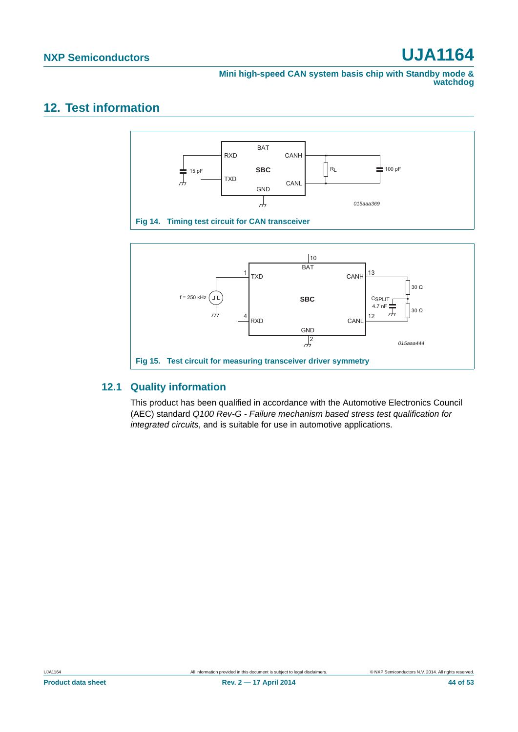**Mini high-speed CAN system basis chip with Standby mode & watchdog**

# <span id="page-43-2"></span>**12. Test information**



### <span id="page-43-1"></span><span id="page-43-0"></span>**12.1 Quality information**

This product has been qualified in accordance with the Automotive Electronics Council (AEC) standard *Q100 Rev-G - Failure mechanism based stress test qualification for integrated circuits*, and is suitable for use in automotive applications.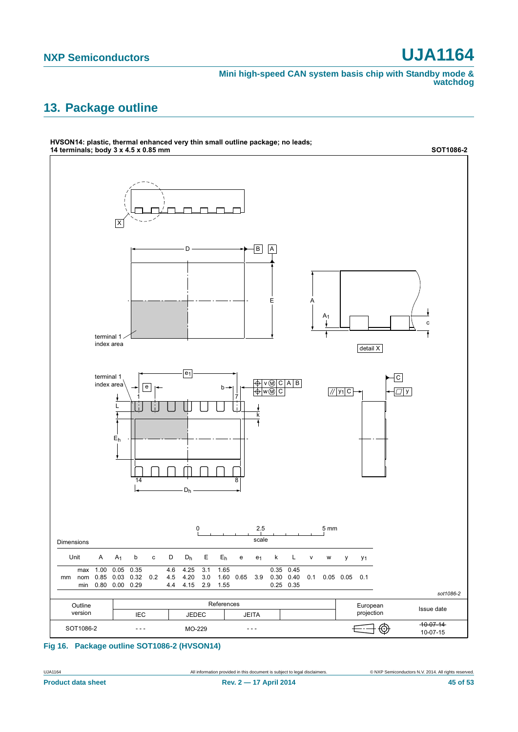**Mini high-speed CAN system basis chip with Standby mode & watchdog**

# <span id="page-44-0"></span>**13. Package outline**



**Fig 16. Package outline SOT1086-2 (HVSON14)**

UJA1164 All information provided in this document is subject to legal disclaimers. © NXP Semiconductors N.V. 2014. All rights reserved.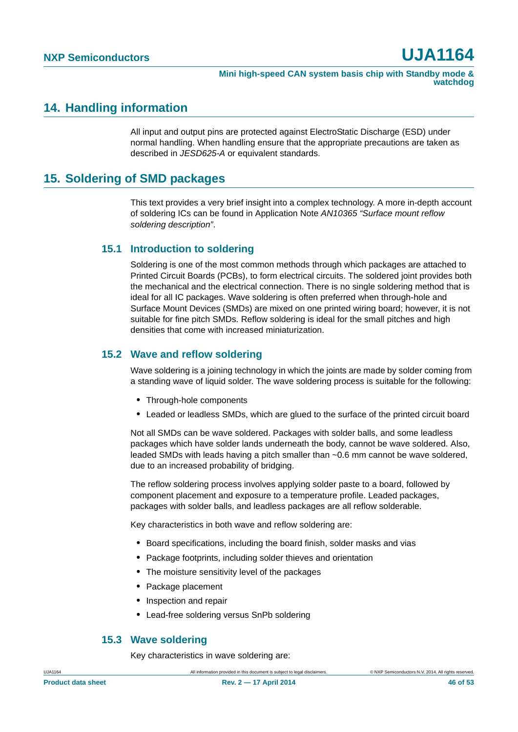### <span id="page-45-1"></span>**14. Handling information**

All input and output pins are protected against ElectroStatic Discharge (ESD) under normal handling. When handling ensure that the appropriate precautions are taken as described in *JESD625-A* or equivalent standards.

## <span id="page-45-0"></span>**15. Soldering of SMD packages**

This text provides a very brief insight into a complex technology. A more in-depth account of soldering ICs can be found in Application Note *AN10365 "Surface mount reflow soldering description"*.

### <span id="page-45-2"></span>**15.1 Introduction to soldering**

Soldering is one of the most common methods through which packages are attached to Printed Circuit Boards (PCBs), to form electrical circuits. The soldered joint provides both the mechanical and the electrical connection. There is no single soldering method that is ideal for all IC packages. Wave soldering is often preferred when through-hole and Surface Mount Devices (SMDs) are mixed on one printed wiring board; however, it is not suitable for fine pitch SMDs. Reflow soldering is ideal for the small pitches and high densities that come with increased miniaturization.

### <span id="page-45-3"></span>**15.2 Wave and reflow soldering**

Wave soldering is a joining technology in which the joints are made by solder coming from a standing wave of liquid solder. The wave soldering process is suitable for the following:

- **•** Through-hole components
- **•** Leaded or leadless SMDs, which are glued to the surface of the printed circuit board

Not all SMDs can be wave soldered. Packages with solder balls, and some leadless packages which have solder lands underneath the body, cannot be wave soldered. Also, leaded SMDs with leads having a pitch smaller than ~0.6 mm cannot be wave soldered, due to an increased probability of bridging.

The reflow soldering process involves applying solder paste to a board, followed by component placement and exposure to a temperature profile. Leaded packages, packages with solder balls, and leadless packages are all reflow solderable.

Key characteristics in both wave and reflow soldering are:

- **•** Board specifications, including the board finish, solder masks and vias
- **•** Package footprints, including solder thieves and orientation
- **•** The moisture sensitivity level of the packages
- **•** Package placement
- **•** Inspection and repair
- **•** Lead-free soldering versus SnPb soldering

### <span id="page-45-4"></span>**15.3 Wave soldering**

Key characteristics in wave soldering are: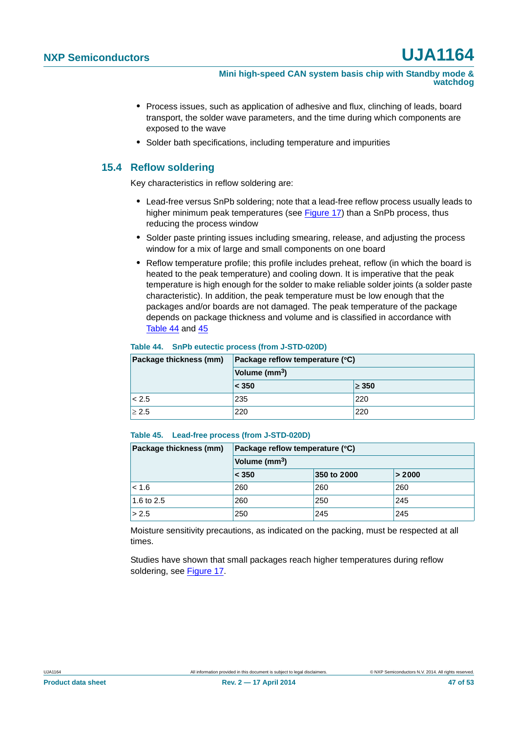- **•** Process issues, such as application of adhesive and flux, clinching of leads, board transport, the solder wave parameters, and the time during which components are exposed to the wave
- **•** Solder bath specifications, including temperature and impurities

### <span id="page-46-2"></span>**15.4 Reflow soldering**

Key characteristics in reflow soldering are:

- **•** Lead-free versus SnPb soldering; note that a lead-free reflow process usually leads to higher minimum peak temperatures (see [Figure 17\)](#page-47-0) than a SnPb process, thus reducing the process window
- **•** Solder paste printing issues including smearing, release, and adjusting the process window for a mix of large and small components on one board
- **•** Reflow temperature profile; this profile includes preheat, reflow (in which the board is heated to the peak temperature) and cooling down. It is imperative that the peak temperature is high enough for the solder to make reliable solder joints (a solder paste characteristic). In addition, the peak temperature must be low enough that the packages and/or boards are not damaged. The peak temperature of the package depends on package thickness and volume and is classified in accordance with [Table 44](#page-46-0) and [45](#page-46-1)

#### <span id="page-46-0"></span>**Table 44. SnPb eutectic process (from J-STD-020D)**

| Package thickness (mm) | Package reflow temperature (°C)<br>Volume (mm <sup>3</sup> ) |            |  |
|------------------------|--------------------------------------------------------------|------------|--|
|                        |                                                              |            |  |
|                        | $\leq 350$                                                   | $\geq 350$ |  |
| < 2.5                  | 235                                                          | 220        |  |
| $\geq 2.5$             | 220                                                          | 220        |  |

#### <span id="page-46-1"></span>**Table 45. Lead-free process (from J-STD-020D)**

| Package thickness (mm) | Package reflow temperature (°C) |             |        |  |
|------------------------|---------------------------------|-------------|--------|--|
|                        | Volume (mm <sup>3</sup> )       |             |        |  |
|                        | $ <$ 350                        | 350 to 2000 | > 2000 |  |
| < 1.6                  | 260                             | 260         | 260    |  |
| 1.6 to 2.5             | 260                             | 250         | 245    |  |
| > 2.5                  | 250                             | 245         | 245    |  |

Moisture sensitivity precautions, as indicated on the packing, must be respected at all times.

Studies have shown that small packages reach higher temperatures during reflow soldering, see [Figure 17](#page-47-0).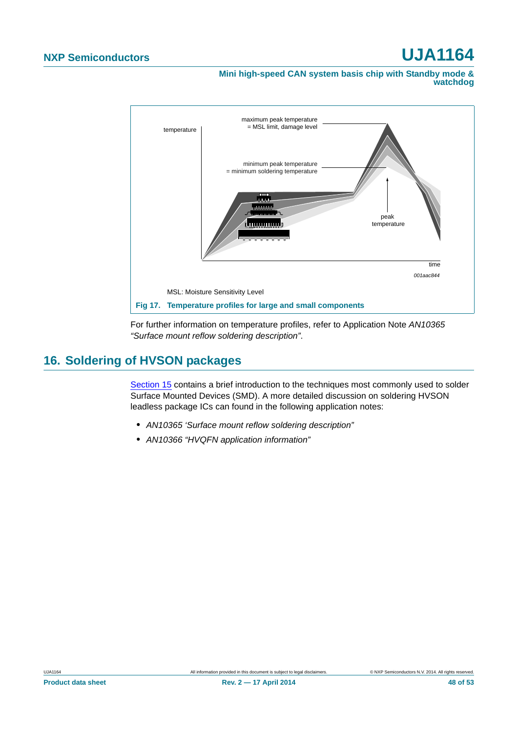**Mini high-speed CAN system basis chip with Standby mode & watchdog**



<span id="page-47-0"></span>For further information on temperature profiles, refer to Application Note *AN10365 "Surface mount reflow soldering description"*.

# <span id="page-47-1"></span>**16. Soldering of HVSON packages**

[Section 15](#page-45-0) contains a brief introduction to the techniques most commonly used to solder Surface Mounted Devices (SMD). A more detailed discussion on soldering HVSON leadless package ICs can found in the following application notes:

- **•** *AN10365 'Surface mount reflow soldering description"*
- **•** *AN10366 "HVQFN application information"*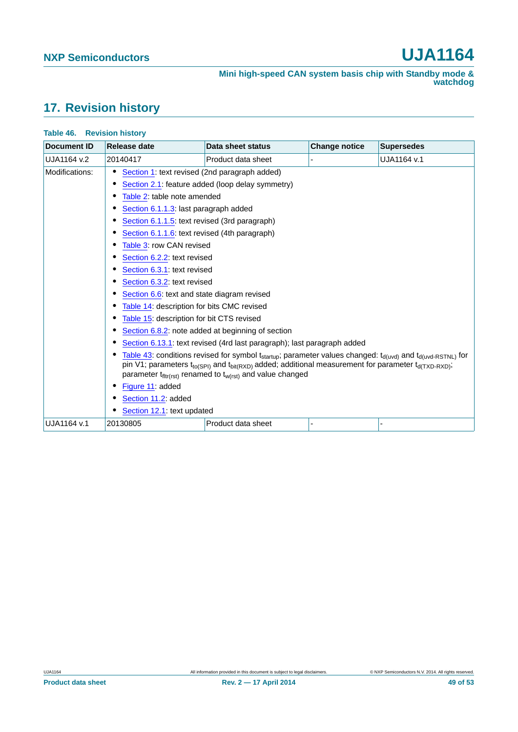# <span id="page-48-0"></span>**17. Revision history**

| <b>Document ID</b> | Release date                                                        | Data sheet status                                                                                                         | <b>Change notice</b> | <b>Supersedes</b> |  |  |
|--------------------|---------------------------------------------------------------------|---------------------------------------------------------------------------------------------------------------------------|----------------------|-------------------|--|--|
| UJA1164 v.2        | 20140417                                                            | Product data sheet                                                                                                        |                      | UJA1164 v.1       |  |  |
| Modifications:     | Section 1: text revised (2nd paragraph added)                       |                                                                                                                           |                      |                   |  |  |
|                    | Section 2.1: feature added (loop delay symmetry)                    |                                                                                                                           |                      |                   |  |  |
|                    | Table 2: table note amended                                         |                                                                                                                           |                      |                   |  |  |
|                    | Section 6.1.1.3: last paragraph added                               |                                                                                                                           |                      |                   |  |  |
|                    | Section 6.1.1.5: text revised (3rd paragraph)                       |                                                                                                                           |                      |                   |  |  |
|                    | Section 6.1.1.6: text revised (4th paragraph)                       |                                                                                                                           |                      |                   |  |  |
|                    | Table 3: row CAN revised                                            |                                                                                                                           |                      |                   |  |  |
|                    | Section 6.2.2: text revised                                         |                                                                                                                           |                      |                   |  |  |
|                    | Section 6.3.1: text revised                                         |                                                                                                                           |                      |                   |  |  |
|                    | Section 6.3.2: text revised                                         |                                                                                                                           |                      |                   |  |  |
|                    | Section 6.6: text and state diagram revised                         |                                                                                                                           |                      |                   |  |  |
|                    | Table 14: description for bits CMC revised                          |                                                                                                                           |                      |                   |  |  |
|                    | Table 15: description for bit CTS revised                           |                                                                                                                           |                      |                   |  |  |
|                    | Section 6.8.2: note added at beginning of section                   |                                                                                                                           |                      |                   |  |  |
|                    |                                                                     | Section 6.13.1: text revised (4rd last paragraph); last paragraph added                                                   |                      |                   |  |  |
|                    |                                                                     | Table 43: conditions revised for symbol $t_{startup}$ ; parameter values changed: $t_{d(uvd)}$ and $t_{d(uvd-RSTNL)}$ for |                      |                   |  |  |
|                    |                                                                     | pin V1; parameters $t_{to(SPI)}$ and $t_{bit(RXD)}$ added; additional measurement for parameter $t_{d(TXD-RXD)}$ ;        |                      |                   |  |  |
|                    | parameter $t_{fllr(rst)}$ renamed to $t_{w(rst)}$ and value changed |                                                                                                                           |                      |                   |  |  |
|                    | Figure 11: added<br>Section 11.2: added                             |                                                                                                                           |                      |                   |  |  |
|                    |                                                                     |                                                                                                                           |                      |                   |  |  |
|                    | Section 12.1: text updated                                          |                                                                                                                           |                      |                   |  |  |
| UJA1164 v.1        | 20130805                                                            | Product data sheet                                                                                                        |                      |                   |  |  |

#### **Table 46. Revision history**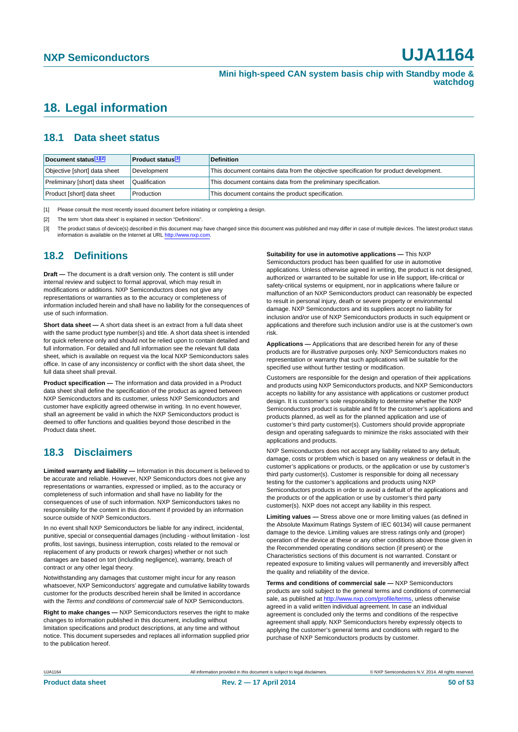## <span id="page-49-3"></span>**18. Legal information**

### <span id="page-49-4"></span>**18.1 Data sheet status**

| Document status[1][2]          | <b>Product status</b> <sup>[3]</sup> | <b>Definition</b>                                                                     |
|--------------------------------|--------------------------------------|---------------------------------------------------------------------------------------|
| Objective [short] data sheet   | Development                          | This document contains data from the objective specification for product development. |
| Preliminary [short] data sheet | Qualification                        | This document contains data from the preliminary specification.                       |
| Product [short] data sheet     | Production                           | This document contains the product specification.                                     |

<span id="page-49-0"></span>[1] Please consult the most recently issued document before initiating or completing a design.

<span id="page-49-1"></span>[2] The term 'short data sheet' is explained in section "Definitions".

<span id="page-49-2"></span>[3] The product status of device(s) described in this document may have changed since this document was published and may differ in case of multiple devices. The latest product status<br>information is available on the Intern

### <span id="page-49-5"></span>**18.2 Definitions**

**Draft —** The document is a draft version only. The content is still under internal review and subject to formal approval, which may result in modifications or additions. NXP Semiconductors does not give any representations or warranties as to the accuracy or completeness of information included herein and shall have no liability for the consequences of use of such information.

**Short data sheet —** A short data sheet is an extract from a full data sheet with the same product type number(s) and title. A short data sheet is intended for quick reference only and should not be relied upon to contain detailed and full information. For detailed and full information see the relevant full data sheet, which is available on request via the local NXP Semiconductors sales office. In case of any inconsistency or conflict with the short data sheet, the full data sheet shall prevail.

**Product specification —** The information and data provided in a Product data sheet shall define the specification of the product as agreed between NXP Semiconductors and its customer, unless NXP Semiconductors and customer have explicitly agreed otherwise in writing. In no event however, shall an agreement be valid in which the NXP Semiconductors product is deemed to offer functions and qualities beyond those described in the Product data sheet.

### <span id="page-49-6"></span>**18.3 Disclaimers**

**Limited warranty and liability —** Information in this document is believed to be accurate and reliable. However, NXP Semiconductors does not give any representations or warranties, expressed or implied, as to the accuracy or completeness of such information and shall have no liability for the consequences of use of such information. NXP Semiconductors takes no responsibility for the content in this document if provided by an information source outside of NXP Semiconductors.

In no event shall NXP Semiconductors be liable for any indirect, incidental, punitive, special or consequential damages (including - without limitation - lost profits, lost savings, business interruption, costs related to the removal or replacement of any products or rework charges) whether or not such damages are based on tort (including negligence), warranty, breach of contract or any other legal theory.

Notwithstanding any damages that customer might incur for any reason whatsoever, NXP Semiconductors' aggregate and cumulative liability towards customer for the products described herein shall be limited in accordance with the *Terms and conditions of commercial sale* of NXP Semiconductors.

**Right to make changes —** NXP Semiconductors reserves the right to make changes to information published in this document, including without limitation specifications and product descriptions, at any time and without notice. This document supersedes and replaces all information supplied prior to the publication hereof.

#### **Suitability for use in automotive applications —** This NXP

Semiconductors product has been qualified for use in automotive applications. Unless otherwise agreed in writing, the product is not designed, authorized or warranted to be suitable for use in life support, life-critical or safety-critical systems or equipment, nor in applications where failure or malfunction of an NXP Semiconductors product can reasonably be expected to result in personal injury, death or severe property or environmental damage. NXP Semiconductors and its suppliers accept no liability for inclusion and/or use of NXP Semiconductors products in such equipment or applications and therefore such inclusion and/or use is at the customer's own risk.

**Applications —** Applications that are described herein for any of these products are for illustrative purposes only. NXP Semiconductors makes no representation or warranty that such applications will be suitable for the specified use without further testing or modification.

Customers are responsible for the design and operation of their applications and products using NXP Semiconductors products, and NXP Semiconductors accepts no liability for any assistance with applications or customer product design. It is customer's sole responsibility to determine whether the NXP Semiconductors product is suitable and fit for the customer's applications and products planned, as well as for the planned application and use of customer's third party customer(s). Customers should provide appropriate design and operating safeguards to minimize the risks associated with their applications and products.

NXP Semiconductors does not accept any liability related to any default, damage, costs or problem which is based on any weakness or default in the customer's applications or products, or the application or use by customer's third party customer(s). Customer is responsible for doing all necessary testing for the customer's applications and products using NXP Semiconductors products in order to avoid a default of the applications and the products or of the application or use by customer's third party customer(s). NXP does not accept any liability in this respect.

**Limiting values —** Stress above one or more limiting values (as defined in the Absolute Maximum Ratings System of IEC 60134) will cause permanent damage to the device. Limiting values are stress ratings only and (proper) operation of the device at these or any other conditions above those given in the Recommended operating conditions section (if present) or the Characteristics sections of this document is not warranted. Constant or repeated exposure to limiting values will permanently and irreversibly affect the quality and reliability of the device.

**Terms and conditions of commercial sale —** NXP Semiconductors products are sold subject to the general terms and conditions of commercial sale, as published at<http://www.nxp.com/profile/terms>, unless otherwise agreed in a valid written individual agreement. In case an individual agreement is concluded only the terms and conditions of the respective agreement shall apply. NXP Semiconductors hereby expressly objects to applying the customer's general terms and conditions with regard to the purchase of NXP Semiconductors products by customer.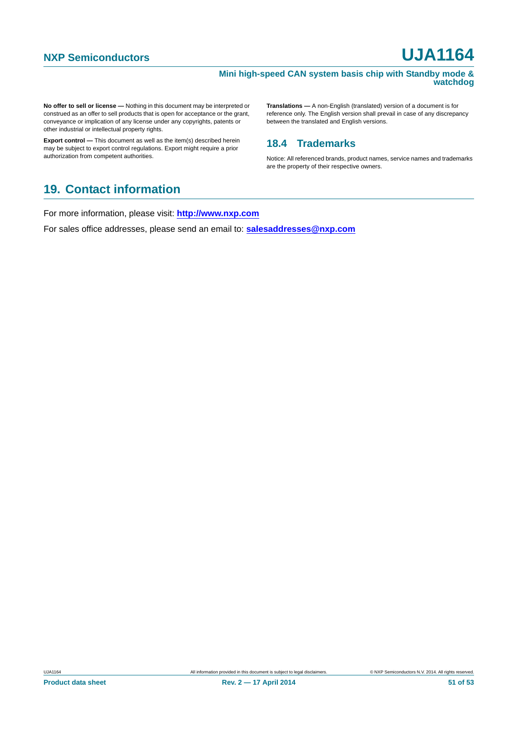#### **Mini high-speed CAN system basis chip with Standby mode & watchdog**

**No offer to sell or license —** Nothing in this document may be interpreted or construed as an offer to sell products that is open for acceptance or the grant, conveyance or implication of any license under any copyrights, patents or other industrial or intellectual property rights.

**Export control —** This document as well as the item(s) described herein may be subject to export control regulations. Export might require a prior authorization from competent authorities.

**Translations —** A non-English (translated) version of a document is for reference only. The English version shall prevail in case of any discrepancy between the translated and English versions.

### <span id="page-50-0"></span>**18.4 Trademarks**

Notice: All referenced brands, product names, service names and trademarks are the property of their respective owners.

# <span id="page-50-1"></span>**19. Contact information**

For more information, please visit: **http://www.nxp.com**

For sales office addresses, please send an email to: **salesaddresses@nxp.com**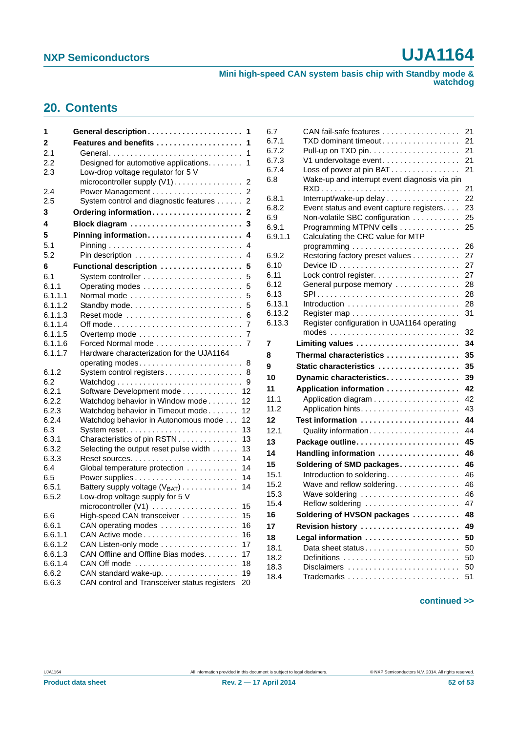**Mini high-speed CAN system basis chip with Standby mode & watchdog**

# <span id="page-51-0"></span>**20. Contents**

| 1                  | General description<br>1                                               |
|--------------------|------------------------------------------------------------------------|
| 2                  | Features and benefits<br>1                                             |
| 2.1                | 1<br>General                                                           |
| 2.2                | Designed for automotive applications.<br>1                             |
| 2.3                | Low-drop voltage regulator for 5 V                                     |
|                    | microcontroller supply (V1)<br>2                                       |
| 2.4                | 2                                                                      |
| 2.5                | System control and diagnostic features<br>2                            |
| 3                  | Ordering information<br>2                                              |
| 4                  | Block diagram<br>3                                                     |
| 5                  | Pinning information<br>4                                               |
| 5.1                | 4                                                                      |
| 5.2                | 4                                                                      |
| 6                  | Functional description<br>5                                            |
| 6.1                | 5                                                                      |
| 6.1.1              | 5                                                                      |
| 6.1.1.1            | Normal mode<br>5                                                       |
| 6.1.1.2            | Standby mode<br>5                                                      |
| 6.1.1.3            | 6                                                                      |
| 6.1.1.4            | 7                                                                      |
| 6.1.1.5            | 7                                                                      |
| 6.1.1.6            | Forced Normal mode<br>7                                                |
| 6.1.1.7            | Hardware characterization for the UJA1164                              |
|                    | operating modes<br>8                                                   |
| 6.1.2              | System control registers<br>8                                          |
| 6.2                | 9                                                                      |
| 6.2.1              | 12<br>Software Development mode                                        |
| 6.2.2              | Watchdog behavior in Window mode<br>12                                 |
| 6.2.3              | Watchdog behavior in Timeout mode<br>12                                |
| 6.2.4              | Watchdog behavior in Autonomous mode<br>12                             |
| 6.3                | 13                                                                     |
| 6.3.1              | Characteristics of pin RSTN<br>13                                      |
| 6.3.2              | Selecting the output reset pulse width<br>13                           |
| 6.3.3              | 14<br>Reset sources. $\dots \dots \dots \dots \dots \dots \dots \dots$ |
| 6.4                | Global temperature protection<br>14                                    |
| 6.5                | 14                                                                     |
| 6.5.1              | Battery supply voltage $(V_{BAT})$<br>14                               |
| 6.5.2              | Low-drop voltage supply for 5 V                                        |
|                    | microcontroller $(V1)$<br>15                                           |
| 6.6                | High-speed CAN transceiver<br>15                                       |
| 6.6.1              | CAN operating modes<br>16                                              |
| 6.6.1.1<br>6.6.1.2 | 16<br>CAN Listen-only mode                                             |
|                    | 17<br>CAN Offline and Offline Bias modes.                              |
| 6.6.1.3            | 17<br>CAN Off mode $\ldots \ldots \ldots \ldots \ldots \ldots$         |
| 6.6.1.4            | 18<br>CAN standard wake-up.                                            |
| 6.6.2              | 19<br>CAN control and Transceiver status registers                     |
| 6.6.3              | 20                                                                     |

| 6.7           | CAN fail-safe features                        | 21       |
|---------------|-----------------------------------------------|----------|
| 6.7.1         | TXD dominant timeout                          | 21       |
| 6.7.2         |                                               | 21       |
| 6.7.3         | V1 undervoltage event                         | 21       |
| 6.7.4         | Loss of power at pin BAT                      | 21       |
| 6.8           | Wake-up and interrupt event diagnosis via pin |          |
|               |                                               | 21       |
| 6.8.1         | Interrupt/wake-up delay                       | 22       |
| 6.8.2         | Event status and event capture registers      | 23       |
| 6.9           | Non-volatile SBC configuration                | 25       |
| 6.9.1         | Programming MTPNV cells                       | 25       |
| 6.9.1.1       | Calculating the CRC value for MTP             |          |
|               |                                               | 26       |
| 6.9.2<br>6.10 | Restoring factory preset values               | 27<br>27 |
| 6.11          |                                               | 27       |
| 6.12          | General purpose memory                        | 28       |
| 6.13          | SPI                                           | 28       |
| 6.13.1        |                                               | 28       |
| 6.13.2        |                                               | 31       |
| 6.13.3        | Register configuration in UJA1164 operating   |          |
|               |                                               | 32       |
| 7             | Limiting values                               | 34       |
| 8             | Thermal characteristics                       | 35       |
| 9             | Static characteristics                        | 35       |
| 10            | Dynamic characteristics                       | 39       |
| 11            |                                               | 42       |
|               | Application information                       |          |
| 11.1<br>11.2  |                                               | 42<br>43 |
| 12            |                                               | 44       |
| 12.1          | Test information                              | 44       |
|               | Quality information                           | 45       |
| 13            | Package outline                               |          |
| 14            | Handling information                          | 46       |
| 15            | Soldering of SMD packages                     | 46       |
| 15.1          | Introduction to soldering.                    | 46       |
| 15.2          | Wave and reflow soldering                     | 46       |
| 15.3          | Wave soldering                                | 46       |
| 15.4          | Reflow soldering                              | 47       |
| 16            | Soldering of HVSON packages                   | 48       |
| 17            | Revision history                              | 49       |
| 18            | Legal information                             | 50       |
| 18.1          | Data sheet status                             | 50       |
| 18.2          |                                               | 50       |
| 18.3          | Disclaimers                                   | 50       |
| 18.4          | Trademarks                                    | 51       |

#### **continued >>**